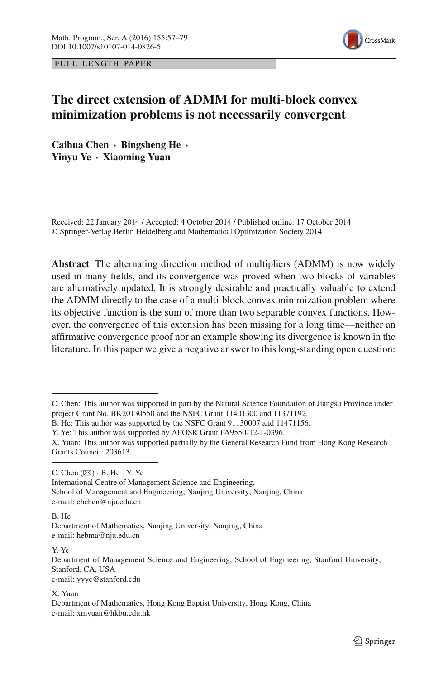

FULL LENGTH PAPER

# **The direct extension of ADMM for multi-block convex minimization problems is not necessarily convergent**

**Caihua Chen · Bingsheng He · Yinyu Ye · Xiaoming Yuan**

Received: 22 January 2014 / Accepted: 4 October 2014 / Published online: 17 October 2014 © Springer-Verlag Berlin Heidelberg and Mathematical Optimization Society 2014

**Abstract** The alternating direction method of multipliers (ADMM) is now widely used in many fields, and its convergence was proved when two blocks of variables are alternatively updated. It is strongly desirable and practically valuable to extend the ADMM directly to the case of a multi-block convex minimization problem where its objective function is the sum of more than two separable convex functions. However, the convergence of this extension has been missing for a long time—neither an affirmative convergence proof nor an example showing its divergence is known in the literature. In this paper we give a negative answer to this long-standing open question:

C. Chen  $(\boxtimes) \cdot$  B. He  $\cdot$  Y. Ye

International Centre of Management Science and Engineering,

School of Management and Engineering, Nanjing University, Nanjing, China e-mail: chchen@nju.edu.cn

B. He

Y. Ye

e-mail: yyye@stanford.edu

X. Yuan

C. Chen: This author was supported in part by the Natural Science Foundation of Jiangsu Province under project Grant No. BK20130550 and the NSFC Grant 11401300 and 11371192.

B. He: This author was supported by the NSFC Grant 91130007 and 11471156.

Y. Ye: This author was supported by AFOSR Grant FA9550-12-1-0396.

X. Yuan: This author was supported partially by the General Research Fund from Hong Kong Research Grants Council: 203613.

Department of Mathematics, Nanjing University, Nanjing, China e-mail: hebma@nju.edu.cn

Department of Management Science and Engineering, School of Engineering, Stanford University, Stanford, CA, USA

Department of Mathematics, Hong Kong Baptist University, Hong Kong, China e-mail: xmyuan@hkbu.edu.hk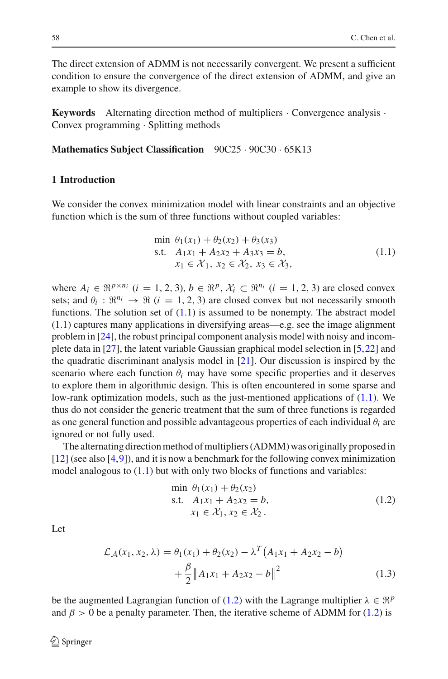The direct extension of ADMM is not necessarily convergent. We present a sufficient condition to ensure the convergence of the direct extension of ADMM, and give an example to show its divergence.

**Keywords** Alternating direction method of multipliers  $\cdot$  Convergence analysis  $\cdot$ Convex programming · Splitting methods

**Mathematics Subject Classification** 90C25 · 90C30 · 65K13

### **1 Introduction**

We consider the convex minimization model with linear constraints and an objective function which is the sum of three functions without coupled variables:

$$
\min \theta_1(x_1) + \theta_2(x_2) + \theta_3(x_3) \n\text{s.t.} \quad A_1x_1 + A_2x_2 + A_3x_3 = b, \n x_1 \in \mathcal{X}_1, \ x_2 \in \mathcal{X}_2, \ x_3 \in \mathcal{X}_3,
$$
\n(1.1)

<span id="page-1-0"></span>where  $A_i \in \mathbb{R}^{p \times n_i}$   $(i = 1, 2, 3), b \in \mathbb{R}^p$ ,  $\mathcal{X}_i \subset \mathbb{R}^{n_i}$   $(i = 1, 2, 3)$  are closed convex sets; and  $\theta_i$ :  $\mathbb{R}^{n_i} \to \mathbb{R}$  (*i* = 1, 2, 3) are closed convex but not necessarily smooth functions. The solution set of  $(1.1)$  is assumed to be nonempty. The abstract model [\(1.1\)](#page-1-0) captures many applications in diversifying areas—e.g. see the image alignment problem in [\[24\]](#page-22-0), the robust principal component analysis model with noisy and incomplete data in [\[27](#page-22-1)], the latent variable Gaussian graphical model selection in [\[5](#page-22-2)[,22](#page-22-3)] and the quadratic discriminant analysis model in [\[21](#page-22-4)]. Our discussion is inspired by the scenario where each function  $\theta_i$  may have some specific properties and it deserves to explore them in algorithmic design. This is often encountered in some sparse and low-rank optimization models, such as the just-mentioned applications of [\(1.1\)](#page-1-0). We thus do not consider the generic treatment that the sum of three functions is regarded as one general function and possible advantageous properties of each individual  $\theta_i$  are ignored or not fully used.

The alternating direction method of multipliers (ADMM) was originally proposed in [\[12](#page-22-5)] (see also [\[4,](#page-22-6)[9\]](#page-22-7)), and it is now a benchmark for the following convex minimization model analogous to  $(1.1)$  but with only two blocks of functions and variables:

$$
\min \theta_1(x_1) + \theta_2(x_2) \n\text{s.t.} \quad A_1x_1 + A_2x_2 = b, \n x_1 \in \mathcal{X}_1, x_2 \in \mathcal{X}_2.
$$
\n(1.2)

Let

<span id="page-1-1"></span>
$$
\mathcal{L}_{\mathcal{A}}(x_1, x_2, \lambda) = \theta_1(x_1) + \theta_2(x_2) - \lambda^T (A_1 x_1 + A_2 x_2 - b) \n+ \frac{\beta}{2} \|A_1 x_1 + A_2 x_2 - b\|^2
$$
\n(1.3)

be the augmented Lagrangian function of [\(1.2\)](#page-1-1) with the Lagrange multiplier  $\lambda \in \mathbb{R}^p$ and  $\beta > 0$  be a penalty parameter. Then, the iterative scheme of ADMM for [\(1.2\)](#page-1-1) is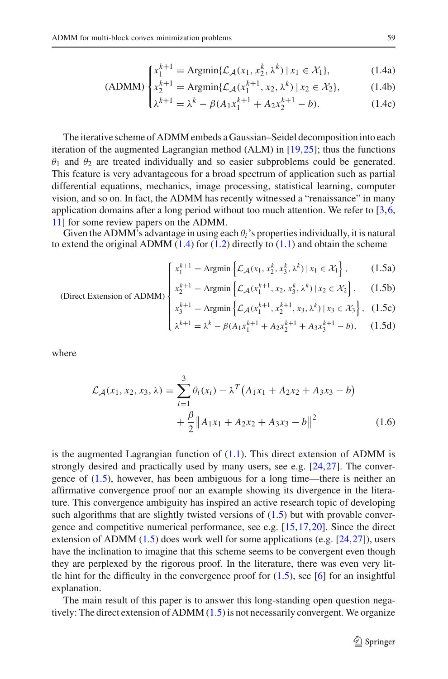$$
\begin{cases} x_1^{k+1} = \text{Argmin}\{\mathcal{L}_{\mathcal{A}}(x_1, x_2^k, \lambda^k) \mid x_1 \in \mathcal{X}_1\}, \end{cases} \tag{1.4a}
$$

$$
(ADMM) \begin{cases} x_2^{k+1} = \text{Argmin}\{\mathcal{L}_{\mathcal{A}}(x_1^{k+1}, x_2, \lambda^k) \, | \, x_2 \in \mathcal{X}_2\}, & (1.4b) \end{cases}
$$

$$
\lambda^{k+1} = \lambda^k - \beta (A_1 x_1^{k+1} + A_2 x_2^{k+1} - b).
$$
 (1.4c)

<span id="page-2-0"></span>The iterative scheme of ADMM embeds a Gaussian–Seidel decomposition into each iteration of the augmented Lagrangian method (ALM) in [\[19](#page-22-8)[,25](#page-22-9)]; thus the functions  $θ_1$  and  $θ_2$  are treated individually and so easier subproblems could be generated. This feature is very advantageous for a broad spectrum of application such as partial differential equations, mechanics, image processing, statistical learning, computer vision, and so on. In fact, the ADMM has recently witnessed a "renaissance" in many application domains after a long period without too much attention. We refer to  $[3,6,$  $[3,6,$  $[3,6,$ [11\]](#page-22-11) for some review papers on the ADMM.

Given the ADMM's advantage in using each  $\theta_i$ 's properties individually, it is natural to extend the original ADMM  $(1.4)$  for  $(1.2)$  directly to  $(1.1)$  and obtain the scheme

<span id="page-2-1"></span>
$$
\left\{ x_1^{k+1} = \text{Argmin} \left\{ \mathcal{L}_{\mathcal{A}}(x_1, x_2^k, x_3^k, \lambda^k) \, | \, x_1 \in \mathcal{X}_1 \right\},\right. \tag{1.5a}
$$

$$
\text{(Direct Extension of ADMM)}\n\begin{cases}\n\begin{cases}\nx_1 = \arg\min \left\{ \mathcal{L}_{\mathcal{A}}(x_1, x_2, x_3, \lambda) \mid x_1 \in \mathbb{R}^n \right\}, & \text{(1.5b)} \\
x_2^{k+1} = \text{Argmin} \left\{ \mathcal{L}_{\mathcal{A}}(x_1^{k+1}, x_2, x_3^k, \lambda^k) \mid x_2 \in \mathcal{X}_2 \right\}, & \text{(1.5b)}\n\end{cases}\n\end{cases}
$$

$$
x_3^{k+1} = \text{Argmin}\left\{ \mathcal{L}_{\mathcal{A}}(x_1^{k+1}, x_2^{k+1}, x_3, \lambda^k) \, | \, x_3 \in \mathcal{X}_3 \right\}, \tag{1.5c}
$$

$$
\left( \lambda^{k+1} = \lambda^k - \beta (A_1 x_1^{k+1} + A_2 x_2^{k+1} + A_3 x_3^{k+1} - b), \right) \tag{1.5d}
$$

where

$$
\mathcal{L}_{\mathcal{A}}(x_1, x_2, x_3, \lambda) = \sum_{i=1}^{3} \theta_i(x_i) - \lambda^T (A_1 x_1 + A_2 x_2 + A_3 x_3 - b) \n+ \frac{\beta}{2} ||A_1 x_1 + A_2 x_2 + A_3 x_3 - b||^2
$$
\n(1.6)

is the augmented Lagrangian function of  $(1.1)$ . This direct extension of ADMM is strongly desired and practically used by many users, see e.g. [\[24](#page-22-0)[,27](#page-22-1)]. The convergence of [\(1.5\)](#page-2-1), however, has been ambiguous for a long time—there is neither an affirmative convergence proof nor an example showing its divergence in the literature. This convergence ambiguity has inspired an active research topic of developing such algorithms that are slightly twisted versions of  $(1.5)$  but with provable convergence and competitive numerical performance, see e.g. [\[15,](#page-22-12)[17](#page-22-13)[,20](#page-22-14)]. Since the direct extension of ADMM [\(1.5\)](#page-2-1) does work well for some applications (e.g. [\[24](#page-22-0)[,27](#page-22-1)]), users have the inclination to imagine that this scheme seems to be convergent even though they are perplexed by the rigorous proof. In the literature, there was even very little hint for the difficulty in the convergence proof for  $(1.5)$ , see [\[6\]](#page-22-10) for an insightful explanation.

The main result of this paper is to answer this long-standing open question negatively: The direct extension of ADMM [\(1.5\)](#page-2-1) is not necessarily convergent. We organize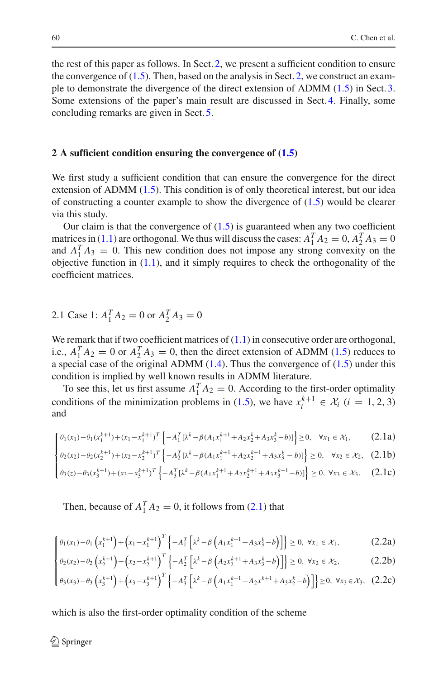the rest of this paper as follows. In Sect. [2,](#page-3-0) we present a sufficient condition to ensure the convergence of  $(1.5)$ . Then, based on the analysis in Sect. [2,](#page-3-0) we construct an example to demonstrate the divergence of the direct extension of ADMM [\(1.5\)](#page-2-1) in Sect. [3.](#page-12-0) Some extensions of the paper's main result are discussed in Sect. [4.](#page-17-0) Finally, some concluding remarks are given in Sect. [5.](#page-20-0)

#### <span id="page-3-0"></span>**2 A sufficient condition ensuring the convergence of [\(1.5\)](#page-2-1)**

We first study a sufficient condition that can ensure the convergence for the direct extension of ADMM [\(1.5\)](#page-2-1). This condition is of only theoretical interest, but our idea of constructing a counter example to show the divergence of  $(1.5)$  would be clearer via this study.

Our claim is that the convergence of  $(1.5)$  is guaranteed when any two coefficient matrices in [\(1.1\)](#page-1-0) are orthogonal. We thus will discuss the cases:  $A_1^T A_2 = 0$ ,  $A_2^T A_3 = 0$ and  $A_1^T A_3 = 0$ . This new condition does not impose any strong convexity on the objective function in  $(1.1)$ , and it simply requires to check the orthogonality of the coefficient matrices.

2.1 Case 1:  $A_1^T A_2 = 0$  or  $A_2^T A_3 = 0$ 

We remark that if two coefficient matrices of  $(1.1)$  in consecutive order are orthogonal, i.e.,  $A_1^T A_2 = 0$  or  $A_2^T A_3 = 0$ , then the direct extension of ADMM [\(1.5\)](#page-2-1) reduces to a special case of the original ADMM  $(1.4)$ . Thus the convergence of  $(1.5)$  under this condition is implied by well known results in ADMM literature.

To see this, let us first assume  $A_1^T A_2 = 0$ . According to the first-order optimality conditions of the minimization problems in [\(1.5\)](#page-2-1), we have  $x_i^{k+1} \in \mathcal{X}_i$  (*i* = 1, 2, 3) and

<span id="page-3-1"></span>
$$
\begin{cases}\n\theta_1(x_1) - \theta_1(x_1^{k+1}) + (x_1 - x_1^{k+1})^T \left\{ -A_1^T \left[ \lambda^k - \beta (A_1 x_1^{k+1} + A_2 x_2^k + A_3 x_3^k - b) \right] \right\} \ge 0, & \forall x_1 \in \mathcal{X}_1,\n\end{cases}\n\begin{cases}\n(2.1a) \\
\theta_2(x_2) - \theta_2 (x_1^{k+1}) + (x_2 - x_1^{k+1})^T \left[ -A_1^T \left[ \lambda^k - \beta (A_1 x_1^{k+1} + A_2 x_2^{k+1} + A_3 x_3^k - b) \right] \right] > 0, \quad \forall x_2 \in \mathcal{X}_2,\n\end{cases}
$$

$$
\left\{\theta_2(x_2) - \theta_2(x_2^{k+1}) + (x_2 - x_2^{k+1})^T \left\{-A_2^T \left[\lambda^k - \beta (A_1 x_1^{k+1} + A_2 x_2^{k+1} + A_3 x_3^k - b)\right]\right\} \ge 0, \quad \forall x_2 \in \mathcal{X}_2,\tag{2.1b}
$$

$$
\left\{ \theta_3(z) - \theta_3(x_3^{k+1}) + (x_3 - x_3^{k+1})^T \left\{ -A_3^T [\lambda^k - \beta(A_1 x_1^{k+1} + A_2 x_2^{k+1} + A_3 x_3^{k+1} - b)] \right\} \ge 0, \ \forall x_3 \in \mathcal{X}_3. \tag{2.1c}
$$

Then, because of  $A_1^T A_2 = 0$ , it follows from [\(2.1\)](#page-3-1) that

$$
\int \theta_1(x_1) - \theta_1 \left( x_1^{k+1} \right) + \left( x_1 - x_1^{k+1} \right)^T \left\{ -A_1^T \left[ \lambda^k - \beta \left( A_1 x_1^{k+1} + A_3 x_3^k - b \right) \right] \right\} \ge 0, \ \forall x_1 \in \mathcal{X}_1,
$$
\n(2.2a)  
\n
$$
\theta_1(x_1) - \theta_1 \left( x_1^{k+1} \right) + \left( x_1 - x_1^{k+1} \right)^T \left[ -A_1^T \left[ \lambda^k - \beta \left( A_1 x_1^{k+1} + A_3 x_3^k - b \right) \right] \right] > 0, \ \forall x_1 \in \mathcal{X}_1,
$$
\n(2.2b)

$$
\left\{\theta_2(x_2) - \theta_2\left(x_2^{k+1}\right) + \left(x_2 - x_2^{k+1}\right)^T \left\{-A_2^T \left[\lambda^k - \beta\left(A_2 x_2^{k+1} + A_3 x_3^k - b\right)\right]\right\} \ge 0, \ \forall x_2 \in \mathcal{X}_2,\tag{2.2b}
$$

$$
\left[\theta_3(x_3) - \theta_3\left(x_3^{k+1}\right) + \left(x_3 - x_3^{k+1}\right)^T \left\{-A_3^T \left[\lambda^k - \beta\left(A_1 x_1^{k+1} + A_2 x^{k+1} + A_3 x_2^k - b\right)\right]\right\} \ge 0, \ \forall x_3 \in \mathcal{X}_3, \ (2.2c)
$$

which is also the first-order optimality condition of the scheme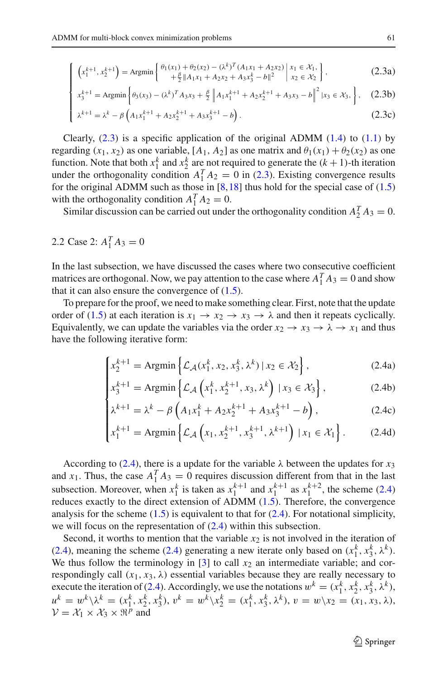$$
\left(x_1^{k+1}, x_2^{k+1}\right) = \text{Argmin}\left\{\n\begin{array}{l}\n\theta_1(x_1) + \theta_2(x_2) - \left(\lambda^k\right)^T (A_1 x_1 + A_2 x_2) \mid x_1 \in \mathcal{X}_1, \\
+\frac{\beta}{2} \|A_1 x_1 + A_2 x_2 + A_3 x_3^k - b\|^2\n\end{array}\n\right| \n\begin{array}{l} x_1 \in \mathcal{X}_1, \\
x_2 \in \mathcal{X}_2\n\end{array}\n\right\},
$$
\n(2.3a)

$$
x_3^{k+1} = \text{Argmin}\left\{\theta_3(x_3) - (\lambda^k)^T A_3 x_3 + \frac{\beta}{2} \|A_1 x_1^{k+1} + A_2 x_2^{k+1} + A_3 x_3 - b\|^2 \, |x_3 \in \mathcal{X}_3, \right\},\tag{2.3b}
$$

$$
\begin{bmatrix}\n1 & 1 & 1 \\
\lambda^{k+1} = \lambda^k - \beta \left( A_1 x_1^{k+1} + A_2 x_2^{k+1} + A_3 x_3^{k+1} - b \right).\n\end{bmatrix}.
$$
\n(2.3c)

Clearly,  $(2.3)$  is a specific application of the original ADMM  $(1.4)$  to  $(1.1)$  by regarding  $(x_1, x_2)$  as one variable,  $[A_1, A_2]$  as one matrix and  $\theta_1(x_1) + \theta_2(x_2)$  as one function. Note that both  $x_1^k$  and  $x_2^k$  are not required to generate the  $(k + 1)$ -th iteration under the orthogonality condition  $A_1^T A_2 = 0$  in [\(2.3\)](#page-4-0). Existing convergence results for the original ADMM such as those in  $[8,18]$  $[8,18]$  $[8,18]$  $[8,18]$  thus hold for the special case of  $(1.5)$ with the orthogonality condition  $A_1^T A_2 = 0$ .

Similar discussion can be carried out under the orthogonality condition  $A_2^T A_3 = 0$ .

# 2.2 Case 2:  $A_1^T A_3 = 0$

<span id="page-4-0"></span> $\lceil$  $\frac{1}{2}$ 

In the last subsection, we have discussed the cases where two consecutive coefficient matrices are orthogonal. Now, we pay attention to the case where  $A_1^T A_3 = 0$  and show that it can also ensure the convergence of  $(1.5)$ .

To prepare for the proof, we need to make something clear. First, note that the update order of [\(1.5\)](#page-2-1) at each iteration is  $x_1 \rightarrow x_2 \rightarrow x_3 \rightarrow \lambda$  and then it repeats cyclically. Equivalently, we can update the variables via the order  $x_2 \rightarrow x_3 \rightarrow \lambda \rightarrow x_1$  and thus have the following iterative form:

<span id="page-4-1"></span>
$$
\begin{cases} x_2^{k+1} = \text{Argmin} \left\{ \mathcal{L}_{\mathcal{A}}(x_1^k, x_2, x_3^k, \lambda^k) \mid x_2 \in \mathcal{X}_2 \right\}, \\ x_3^{k+1} = \text{Argmin} \left\{ \mathcal{L}_{\mathcal{A}}\left(x_1^k, x_2^{k+1}, x_3, \lambda^k\right) \mid x_3 \in \mathcal{X}_3 \right\}, \end{cases} \tag{2.4b}
$$

$$
x_3^{k+1} = \text{Argmin}\left\{ \mathcal{L}_{\mathcal{A}}\left(x_1^k, x_2^{k+1}, x_3, \lambda^k\right) \mid x_3 \in \mathcal{X}_3 \right\},\tag{2.4b}
$$

$$
\lambda^{k+1} = \lambda^k - \beta \left( A_1 x_1^k + A_2 x_2^{k+1} + A_3 x_3^{k+1} - b \right),
$$
 (2.4c)

$$
\begin{cases}\n\chi^{k+1} = \chi^k - \beta \left( A_1 x_1^k + A_2 x_2^{k+1} + A_3 x_3^{k+1} - b \right), & (2.4c) \\
x_1^{k+1} = \text{Argmin} \left\{ \mathcal{L}_{\mathcal{A}} \left( x_1, x_2^{k+1}, x_3^{k+1}, \lambda^{k+1} \right) \mid x_1 \in \mathcal{X}_1 \right\}. & (2.4d)\n\end{cases}
$$

According to [\(2.4\)](#page-4-1), there is a update for the variable  $\lambda$  between the updates for  $x_3$ and *x*<sub>1</sub>. Thus, the case  $A_1^T A_3 = 0$  requires discussion different from that in the last subsection. Moreover, when  $x_1^k$  is taken as  $x_1^{k+1}$  and  $x_1^{k+1}$  as  $x_1^{k+2}$ , the scheme [\(2.4\)](#page-4-1) reduces exactly to the direct extension of ADMM [\(1.5\)](#page-2-1). Therefore, the convergence analysis for the scheme  $(1.5)$  is equivalent to that for  $(2.4)$ . For notational simplicity, we will focus on the representation of [\(2.4\)](#page-4-1) within this subsection.

Second, it worths to mention that the variable  $x_2$  is not involved in the iteration of [\(2.4\)](#page-4-1), meaning the scheme (2.4) generating a new iterate only based on  $(x_1^k, x_3^k, \lambda^k)$ . We thus follow the terminology in  $[3]$  to call  $x_2$  an intermediate variable; and correspondingly call  $(x_1, x_3, \lambda)$  essential variables because they are really necessary to execute the iteration of [\(2.4\)](#page-4-1). Accordingly, we use the notations  $w^k = (x_1^k, x_2^k, x_3^k, \lambda^k)$ ,  $u^k = w^k \setminus \lambda^k = (x_1^k, x_2^k, x_3^k), v^k = w^k \setminus x_2^k = (x_1^k, x_3^k, \lambda^k), v = w \setminus x_2 = (x_1, x_3, \lambda),$  $V = \mathcal{X}_1 \times \mathcal{X}_3 \times \Re^p$  and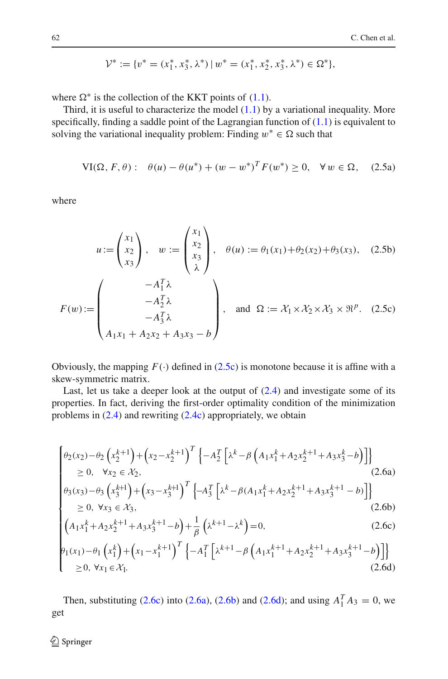<span id="page-5-0"></span>
$$
\mathcal{V}^* := \{ v^* = (x_1^*, x_3^*, \lambda^*) \mid w^* = (x_1^*, x_2^*, x_3^*, \lambda^*) \in \Omega^* \},
$$

where  $\Omega^*$  is the collection of the KKT points of [\(1.1\)](#page-1-0).

Third, it is useful to characterize the model  $(1.1)$  by a variational inequality. More specifically, finding a saddle point of the Lagrangian function of  $(1.1)$  is equivalent to solving the variational inequality problem: Finding  $w^* \in \Omega$  such that

$$
\text{VI}(\Omega, F, \theta) : \quad \theta(u) - \theta(u^*) + (w - w^*)^T F(w^*) \ge 0, \quad \forall \, w \in \Omega, \quad (2.5a)
$$

where

$$
u := \begin{pmatrix} x_1 \\ x_2 \\ x_3 \end{pmatrix}, \quad w := \begin{pmatrix} x_1 \\ x_2 \\ x_3 \\ \lambda \end{pmatrix}, \quad \theta(u) := \theta_1(x_1) + \theta_2(x_2) + \theta_3(x_3), \quad (2.5b)
$$

$$
F(w) := \begin{pmatrix} -A_1^T \lambda \\ -A_2^T \lambda \\ -A_3^T \lambda \\ A_1 x_1 + A_2 x_2 + A_3 x_3 - b \end{pmatrix}, \quad \text{and } \Omega := \mathcal{X}_1 \times \mathcal{X}_2 \times \mathcal{X}_3 \times \mathbb{R}^p. \quad (2.5c)
$$

Obviously, the mapping  $F(\cdot)$  defined in [\(2.5c\)](#page-5-0) is monotone because it is affine with a skew-symmetric matrix.

<span id="page-5-1"></span>Last, let us take a deeper look at the output of  $(2.4)$  and investigate some of its properties. In fact, deriving the first-order optimality condition of the minimization problems in [\(2.4\)](#page-4-1) and rewriting [\(2.4c\)](#page-4-1) appropriately, we obtain

$$
\begin{cases}\n\theta_{2}(x_{2}) - \theta_{2}\left(x_{2}^{k+1}\right) + \left(x_{2} - x_{2}^{k+1}\right)^{T}\left\{-A_{2}^{T}\left[\lambda^{k} - \beta\left(A_{1}x_{1}^{k} + A_{2}x_{2}^{k+1} + A_{3}x_{3}^{k} - b\right)\right]\right\} \\
\geq 0, \quad \forall x_{2} \in \mathcal{X}_{2}, \\
\theta_{3}(x_{3}) - \theta_{3}\left(x_{3}^{k+1}\right) + \left(x_{3} - x_{3}^{k+1}\right)^{T}\left\{-A_{3}^{T}\left[\lambda^{k} - \beta\left(A_{1}x_{1}^{k} + A_{2}x_{2}^{k+1} + A_{3}x_{3}^{k+1} - b\right)\right]\right\} \\
\geq 0, \quad \forall x_{2} \in \mathcal{X}_{2}.\n\end{cases} (2.6b)
$$

$$
\begin{cases}\n\theta_{3}(x_{3}) - \theta_{3}\left(x_{3}^{k+1}\right) + \left(x_{3} - x_{3}^{k+1}\right)^{T} \left\{-A_{3}^{T}\left[\lambda^{k} - \beta(A_{1}x_{1}^{k} + A_{2}x_{2}^{k+1} + A_{3}x_{3}^{k+1} - b)\right]\right\} \\
\geq 0, \ \forall x_{3} \in \mathcal{X}_{3},\n\end{cases} \tag{2.6b}
$$

$$
\left(A_1x_1^k + A_2x_2^{k+1} + A_3x_3^{k+1} - b\right) + \frac{1}{\beta}\left(\lambda^{k+1} - \lambda^k\right) = 0,\tag{2.6c}
$$

$$
\begin{cases}\n\left(A_{1}x_{1}^{k} + A_{2}x_{2}^{k+1} + A_{3}x_{3}^{k+1} - b\right) + \frac{1}{\beta}\left(\lambda^{k+1} - \lambda^{k}\right) = 0, & (2.6c) \\
\theta_{1}(x_{1}) - \theta_{1}\left(x_{1}^{k}\right) + \left(x_{1} - x_{1}^{k+1}\right)^{T}\left\{-A_{1}^{T}\left[\lambda^{k+1} - \beta\left(A_{1}x_{1}^{k+1} + A_{2}x_{2}^{k+1} + A_{3}x_{3}^{k+1} - b\right)\right]\right\} \\
\geq 0, \forall x_{1} \in \mathcal{X}_{1}.\n\end{cases}
$$
\n(2.6d)

Then, substituting [\(2.6c\)](#page-5-1) into [\(2.6a\)](#page-5-1), [\(2.6b\)](#page-5-1) and [\(2.6d\)](#page-5-1); and using  $A_1^T A_3 = 0$ , we get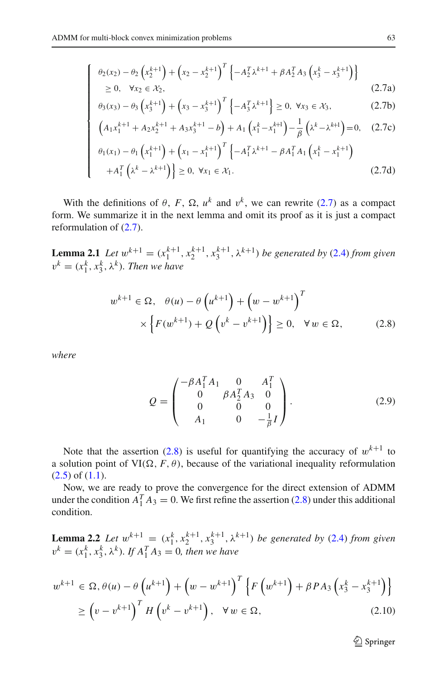<span id="page-6-0"></span> $\sqrt{2}$ 

⎪⎪⎪⎪⎪⎪⎪⎪⎪⎪⎪⎪⎪⎪⎪⎪⎨

⎪⎪⎪⎪⎪⎪⎪⎪⎪⎪⎪⎪⎪⎪⎪⎪⎩

$$
\theta_2(x_2) - \theta_2 \left( x_2^{k+1} \right) + \left( x_2 - x_2^{k+1} \right)^T \left\{ -A_2^T \lambda^{k+1} + \beta A_2^T A_3 \left( x_3^k - x_3^{k+1} \right) \right\} \n\geq 0, \quad \forall x_2 \in \mathcal{X}_2,
$$
\n(2.7a)

$$
\theta_3(x_3) - \theta_3 \left( x_3^{k+1} \right) + \left( x_3 - x_3^{k+1} \right)^T \left\{ -A_3^T \lambda^{k+1} \right\} \ge 0, \ \forall x_3 \in \mathcal{X}_3, \tag{2.7b}
$$

$$
\left(A_1x_1^{k+1} + A_2x_2^{k+1} + A_3x_3^{k+1} - b\right) + A_1\left(x_1^k - x_1^{k+1}\right) - \frac{1}{\beta}\left(\lambda^k - \lambda^{k+1}\right) = 0,\tag{2.7c}
$$

$$
\theta_{1}(x_{1}) - \theta_{1}\left(x_{1}^{k+1}\right) + \left(x_{1} - x_{1}^{k+1}\right)^{T} \left\{-A_{1}^{T} \lambda^{k+1} - \beta A_{1}^{T} A_{1}\left(x_{1}^{k} - x_{1}^{k+1}\right) + A_{1}^{T}\left(\lambda^{k} - \lambda^{k+1}\right)\right\} \ge 0, \ \forall x_{1} \in \mathcal{X}_{1}.
$$
\n(2.7d)

With the definitions of  $\theta$ ,  $F$ ,  $\Omega$ ,  $u^k$  and  $v^k$ , we can rewrite [\(2.7\)](#page-6-0) as a compact form. We summarize it in the next lemma and omit its proof as it is just a compact reformulation of [\(2.7\)](#page-6-0).

<span id="page-6-1"></span>**Lemma 2.1** *Let*  $w^{k+1} = (x_1^{k+1}, x_2^{k+1}, x_3^{k+1}, \lambda^{k+1})$  *be generated by* [\(2.4\)](#page-4-1) *from given*  $v^k = (x_1^k, x_3^k, \lambda^k)$ *. Then we have* 

$$
w^{k+1} \in \Omega, \quad \theta(u) - \theta\left(u^{k+1}\right) + \left(w - w^{k+1}\right)^T
$$
  
 
$$
\times \left\{ F(w^{k+1}) + Q\left(v^k - v^{k+1}\right) \right\} \ge 0, \quad \forall w \in \Omega,
$$
 (2.8)

<span id="page-6-2"></span>*where*

$$
Q = \begin{pmatrix} -\beta A_1^T A_1 & 0 & A_1^T \\ 0 & \beta A_2^T A_3 & 0 \\ 0 & 0 & 0 \\ A_1 & 0 & -\frac{1}{\beta}I \end{pmatrix}.
$$
 (2.9)

Note that the assertion [\(2.8\)](#page-6-1) is useful for quantifying the accuracy of  $w^{k+1}$  to a solution point of  $VI(\Omega, F, \theta)$ , because of the variational inequality reformulation  $(2.5)$  of  $(1.1)$ .

<span id="page-6-4"></span>Now, we are ready to prove the convergence for the direct extension of ADMM under the condition  $A_1^T A_3 = 0$ . We first refine the assertion [\(2.8\)](#page-6-1) under this additional condition.

**Lemma 2.2** *Let*  $w^{k+1} = (x_1^k, x_2^{k+1}, x_3^{k+1}, \lambda^{k+1})$  *be generated by* [\(2.4\)](#page-4-1) *from given*  $v^k = (x_1^k, x_3^k, \lambda^k)$ *. If*  $A_1^T A_3 = 0$ *, then we have* 

<span id="page-6-3"></span>
$$
w^{k+1} \in \Omega, \theta(u) - \theta\left(u^{k+1}\right) + \left(w - w^{k+1}\right)^T \left\{ F\left(w^{k+1}\right) + \beta P A_3 \left(x_3^k - x_3^{k+1}\right) \right\}
$$
  
\n
$$
\geq \left(v - v^{k+1}\right)^T H\left(v^k - v^{k+1}\right), \quad \forall w \in \Omega,
$$
\n(2.10)

<sup>2</sup> Springer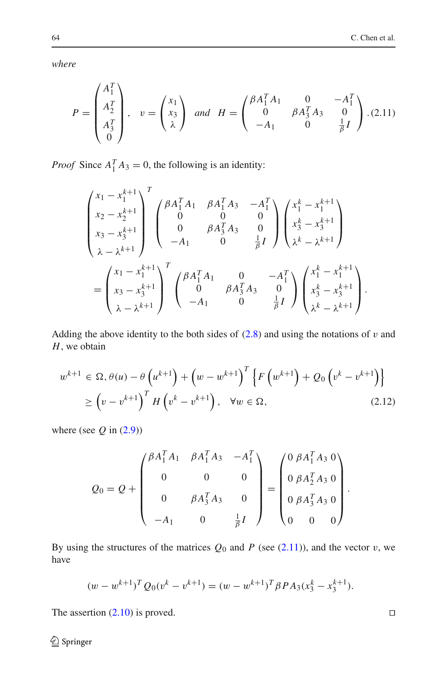<span id="page-7-0"></span>*where*

$$
P = \begin{pmatrix} A_1^T \\ A_2^T \\ A_3^T \\ 0 \end{pmatrix}, \quad v = \begin{pmatrix} x_1 \\ x_3 \\ \lambda \end{pmatrix} \quad and \quad H = \begin{pmatrix} \beta A_1^T A_1 & 0 & -A_1^T \\ 0 & \beta A_3^T A_3 & 0 \\ -A_1 & 0 & \frac{1}{\beta} I \end{pmatrix} . (2.11)
$$

*Proof* Since  $A_1^T A_3 = 0$ , the following is an identity:

$$
\begin{pmatrix}\nx_1 - x_1^{k+1} \\
x_2 - x_2^{k+1} \\
x_3 - x_3^{k+1} \\
\lambda - \lambda^{k+1}\n\end{pmatrix}^T \begin{pmatrix}\n\beta A_1^T A_1 & \beta A_1^T A_3 & -A_1^T \\
0 & 0 & 0 \\
0 & \beta A_3^T A_3 & 0 \\
-A_1 & 0 & \frac{1}{\beta}I\n\end{pmatrix} \begin{pmatrix}\nx_1^k - x_1^{k+1} \\
x_3^k - x_3^{k+1} \\
\lambda^k - \lambda^{k+1}\n\end{pmatrix}
$$
\n
$$
= \begin{pmatrix}\nx_1 - x_1^{k+1} \\
x_3 - x_3^{k+1} \\
\lambda - \lambda^{k+1}\n\end{pmatrix}^T \begin{pmatrix}\n\beta A_1^T A_1 & 0 & -A_1^T \\
0 & \beta A_3^T A_3 & 0 \\
-A_1 & 0 & \frac{1}{\beta}I\n\end{pmatrix} \begin{pmatrix}\nx_1^k - x_1^{k+1} \\
x_3^k - x_3^{k+1} \\
\lambda^k - \lambda^{k+1}\n\end{pmatrix}.
$$

Adding the above identity to the both sides of  $(2.8)$  and using the notations of v and *H*, we obtain

$$
w^{k+1} \in \Omega, \theta(u) - \theta\left(u^{k+1}\right) + \left(w - w^{k+1}\right)^T \left\{ F\left(w^{k+1}\right) + \mathcal{Q}_0\left(v^k - v^{k+1}\right) \right\} \\ \ge \left(v - v^{k+1}\right)^T H\left(v^k - v^{k+1}\right), \quad \forall w \in \Omega, \tag{2.12}
$$

where (see  $Q$  in  $(2.9)$ )

$$
Q_0 = Q + \begin{pmatrix} \beta A_1^T A_1 & \beta A_1^T A_3 & -A_1^T \\ 0 & 0 & 0 \\ 0 & \beta A_3^T A_3 & 0 \\ -A_1 & 0 & \frac{1}{\beta} I \end{pmatrix} = \begin{pmatrix} 0 & \beta A_1^T A_3 & 0 \\ 0 & \beta A_2^T A_3 & 0 \\ 0 & \beta A_3^T A_3 & 0 \\ 0 & 0 & 0 \end{pmatrix}
$$

By using the structures of the matrices  $Q_0$  and *P* (see [\(2.11\)](#page-7-0)), and the vector v, we have

$$
(w - w^{k+1})^T Q_0(v^k - v^{k+1}) = (w - w^{k+1})^T \beta P A_3(x_3^k - x_3^{k+1}).
$$

The assertion  $(2.10)$  is proved.

 $\Box$ 

.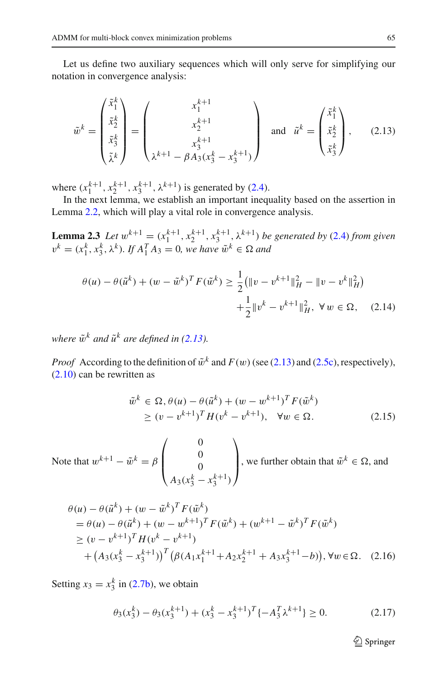Let us define two auxiliary sequences which will only serve for simplifying our notation in convergence analysis:

$$
\tilde{w}^k = \begin{pmatrix} \tilde{x}_1^k \\ \tilde{x}_2^k \\ \tilde{x}_3^k \\ \tilde{\lambda}^k \end{pmatrix} = \begin{pmatrix} x_1^{k+1} \\ x_2^{k+1} \\ x_3^{k+1} \\ \lambda^{k+1} - \beta A_3 (x_3^k - x_3^{k+1}) \end{pmatrix} \text{ and } \tilde{u}^k = \begin{pmatrix} \tilde{x}_1^k \\ \tilde{x}_2^k \\ \tilde{x}_3^k \end{pmatrix}, \quad (2.13)
$$

<span id="page-8-0"></span>where  $(x_1^{k+1}, x_2^{k+1}, x_3^{k+1}, \lambda^{k+1})$  is generated by [\(2.4\)](#page-4-1).

In the next lemma, we establish an important inequality based on the assertion in Lemma [2.2,](#page-6-4) which will play a vital role in convergence analysis.

<span id="page-8-2"></span>**Lemma 2.3** *Let*  $w^{k+1} = (x_1^{k+1}, x_2^{k+1}, x_3^{k+1}, \lambda^{k+1})$  *be generated by* [\(2.4\)](#page-4-1) *from given*  $v^k = (x_1^k, x_3^k, \lambda^k)$ *. If*  $A_1^T A_3 = 0$ *, we have*  $\tilde{w}^k \in \Omega$  *and* 

$$
\theta(u) - \theta(\tilde{u}^k) + (w - \tilde{w}^k)^T F(\tilde{w}^k) \ge \frac{1}{2} (\|v - v^{k+1}\|_H^2 - \|v - v^k\|_H^2) + \frac{1}{2} \|v^k - v^{k+1}\|_H^2, \ \forall w \in \Omega, \quad (2.14)
$$

*where*  $\tilde{w}^k$  *and*  $\tilde{u}^k$  *are defined in [\(2.13\)](#page-8-0).* 

*Proof* According to the definition of  $\tilde{w}^k$  and  $F(w)$  (see [\(2.13\)](#page-8-0) and [\(2.5c\)](#page-5-0), respectively), [\(2.10\)](#page-6-3) can be rewritten as

$$
\tilde{w}^{k} \in \Omega, \theta(u) - \theta(\tilde{u}^{k}) + (w - w^{k+1})^{T} F(\tilde{w}^{k}) \ge (v - v^{k+1})^{T} H(v^{k} - v^{k+1}), \quad \forall w \in \Omega.
$$
\n(2.15)

Note that  $w^{k+1} - \tilde{w}^k = \beta$  $\sqrt{2}$  $\parallel$  $\boldsymbol{0}$  $\boldsymbol{0}$  $\boldsymbol{0}$  $A_3(x_3^k - x_3^{k+1})$  $\setminus$  $\Big\}$ , we further obtain that  $\tilde{w}^k \in \Omega$ , and

$$
\theta(u) - \theta(\tilde{u}^{k}) + (w - \tilde{w}^{k})^{T} F(\tilde{w}^{k})
$$
\n
$$
= \theta(u) - \theta(\tilde{u}^{k}) + (w - w^{k+1})^{T} F(\tilde{w}^{k}) + (w^{k+1} - \tilde{w}^{k})^{T} F(\tilde{w}^{k})
$$
\n
$$
\ge (v - v^{k+1})^{T} H(v^{k} - v^{k+1})
$$
\n
$$
+ (A_{3}(x_{3}^{k} - x_{3}^{k+1}))^{T} (\beta(A_{1}x_{1}^{k+1} + A_{2}x_{2}^{k+1} + A_{3}x_{3}^{k+1} - b)), \forall w \in \Omega. \quad (2.16)
$$

<span id="page-8-1"></span>Setting  $x_3 = x_3^k$  in [\(2.7b\)](#page-6-0), we obtain

$$
\theta_3(x_3^k) - \theta_3(x_3^{k+1}) + (x_3^k - x_3^{k+1})^T \{-A_3^T \lambda^{k+1}\} \ge 0.
$$
 (2.17)

 $\mathcal{D}$  Springer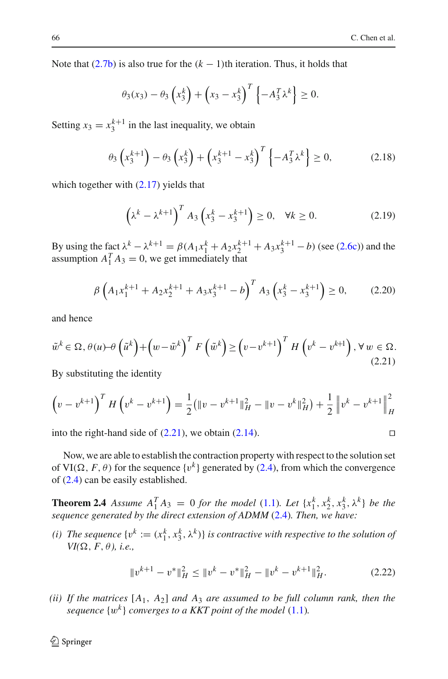Note that  $(2.7b)$  is also true for the  $(k - 1)$ th iteration. Thus, it holds that

$$
\theta_3(x_3)-\theta_3\left(x_3^k\right)+\left(x_3-x_3^k\right)^T\left\{-A_3^T\lambda^k\right\}\geq 0.
$$

Setting  $x_3 = x_3^{k+1}$  in the last inequality, we obtain

$$
\theta_3 \left( x_3^{k+1} \right) - \theta_3 \left( x_3^k \right) + \left( x_3^{k+1} - x_3^k \right)^T \left\{ -A_3^T \lambda^k \right\} \ge 0, \tag{2.18}
$$

which together with  $(2.17)$  yields that

$$
\left(\lambda^k - \lambda^{k+1}\right)^T A_3 \left(x_3^k - x_3^{k+1}\right) \ge 0, \quad \forall k \ge 0. \tag{2.19}
$$

By using the fact  $\lambda^k - \lambda^{k+1} = \beta (A_1 x_1^k + A_2 x_2^{k+1} + A_3 x_3^{k+1} - b)$  (see [\(2.6c\)](#page-5-1)) and the assumption  $A_1^T A_3 = 0$ , we get immediately that

$$
\beta \left( A_1 x_1^{k+1} + A_2 x_2^{k+1} + A_3 x_3^{k+1} - b \right)^T A_3 \left( x_3^k - x_3^{k+1} \right) \ge 0, \tag{2.20}
$$

and hence

<span id="page-9-0"></span>
$$
\tilde{w}^k \in \Omega, \theta(u) - \theta\left(\tilde{u}^k\right) + \left(w - \tilde{w}^k\right)^T F\left(\tilde{w}^k\right) \ge \left(v - v^{k+1}\right)^T H\left(v^k - v^{k+1}\right), \forall w \in \Omega. \tag{2.21}
$$

By substituting the identity

$$
\left(v - v^{k+1}\right)^{T} H\left(v^{k} - v^{k+1}\right) = \frac{1}{2} (\|v - v^{k+1}\|_{H}^{2} - \|v - v^{k}\|_{H}^{2}) + \frac{1}{2} \|v^{k} - v^{k+1}\|_{H}^{2}
$$

into the right-hand side of  $(2.21)$ , we obtain  $(2.14)$ .

Now, we are able to establish the contraction property with respect to the solution set of VI( $\Omega$ , *F*,  $\theta$ ) for the sequence {v<sup>k</sup>} generated by [\(2.4\)](#page-4-1), from which the convergence of [\(2.4\)](#page-4-1) can be easily established.

**Theorem 2.4** Assume  $A_1^T A_3 = 0$  *for the model* [\(1.1\)](#page-1-0)*. Let*  $\{x_1^k, x_2^k, x_3^k, \lambda^k\}$  *be the sequence generated by the direct extension of ADMM* [\(2.4\)](#page-4-1)*. Then, we have:*

*(i)* The sequence  $\{v^k:=(x_1^k, x_3^k, \lambda^k)\}$  is contractive with respective to the solution of  $VI(\Omega, F, \theta)$ , *i.e.*,

$$
||v^{k+1} - v^*||_H^2 \le ||v^k - v^*||_H^2 - ||v^k - v^{k+1}||_H^2.
$$
 (2.22)

<span id="page-9-1"></span>*(ii) If the matrices* [*A*1, *A*2] *and A*<sup>3</sup> *are assumed to be full column rank, then the sequence*  $\{w^k\}$  *converges to a KKT point of the model* [\(1.1\)](#page-1-0)*.* 

$$
\Box
$$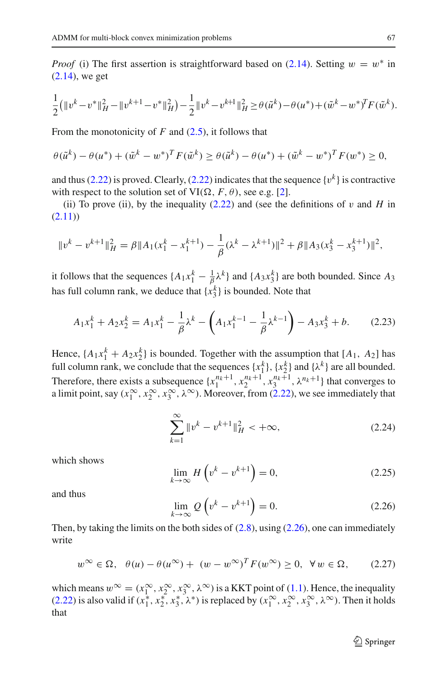*Proof* (i) The first assertion is straightforward based on [\(2.14\)](#page-8-2). Setting  $w = w^*$  in [\(2.14\)](#page-8-2), we get

$$
\frac{1}{2}(\|v^{k}-v^{*}\|_{H}^{2}-\|v^{k+1}-v^{*}\|_{H}^{2})-\frac{1}{2}\|v^{k}-v^{k+1}\|_{H}^{2}\geq \theta(\tilde{u}^{k})-\theta(u^{*})+(\tilde{w}^{k}-w^{*})^{T}F(\tilde{w}^{k}).
$$

From the monotonicity of *F* and [\(2.5\)](#page-5-0), it follows that

$$
\theta(\tilde{u}^k) - \theta(u^*) + (\tilde{w}^k - w^*)^T F(\tilde{w}^k) \ge \theta(\tilde{u}^k) - \theta(u^*) + (\tilde{w}^k - w^*)^T F(w^*) \ge 0,
$$

and thus [\(2.22\)](#page-9-1) is proved. Clearly, (2.22) indicates that the sequence  $\{v^k\}$  is contractive with respect to the solution set of  $VI(\Omega, F, \theta)$ , see e.g. [\[2\]](#page-21-1).

(ii) To prove (ii), by the inequality  $(2.22)$  and (see the definitions of v and *H* in  $(2.11)$ 

$$
||v^k - v^{k+1}||_H^2 = \beta ||A_1(x_1^k - x_1^{k+1}) - \frac{1}{\beta}(\lambda^k - \lambda^{k+1})||^2 + \beta ||A_3(x_3^k - x_3^{k+1})||^2,
$$

it follows that the sequences  $\{A_1x_1^k - \frac{1}{\beta}\lambda^k\}$  and  $\{A_3x_3^k\}$  are both bounded. Since  $A_3$ has full column rank, we deduce that  $\{x_3^k\}$  is bounded. Note that

$$
A_1 x_1^k + A_2 x_2^k = A_1 x_1^k - \frac{1}{\beta} \lambda^k - \left( A_1 x_1^{k-1} - \frac{1}{\beta} \lambda^{k-1} \right) - A_3 x_3^k + b. \tag{2.23}
$$

<span id="page-10-1"></span>Hence,  $\{A_1x_1^k + A_2x_2^k\}$  is bounded. Together with the assumption that  $[A_1, A_2]$  has full column rank, we conclude that the sequences  $\{x_1^k\}$ ,  $\{x_2^k\}$  and  $\{\lambda^k\}$  are all bounded. Therefore, there exists a subsequence  $\{x_1^{n_k+1}, x_2^{n_k+1}, x_3^{n_k+1}, \lambda^{n_k+1}\}$  that converges to a limit point, say  $(x_1^{\infty}, x_2^{\infty}, x_3^{\infty}, \lambda^{\infty})$ . Moreover, from [\(2.22\)](#page-9-1), we see immediately that

$$
\sum_{k=1}^{\infty} \|v^k - v^{k+1}\|_H^2 < +\infty,
$$
\n(2.24)

which shows

$$
\lim_{k \to \infty} H\left(v^k - v^{k+1}\right) = 0,\tag{2.25}
$$

<span id="page-10-0"></span>and thus

$$
\lim_{k \to \infty} Q\left(v^k - v^{k+1}\right) = 0. \tag{2.26}
$$

Then, by taking the limits on the both sides of  $(2.8)$ , using  $(2.26)$ , one can immediately write

$$
w^{\infty} \in \Omega, \quad \theta(u) - \theta(u^{\infty}) + (w - w^{\infty})^T F(w^{\infty}) \ge 0, \quad \forall w \in \Omega, \tag{2.27}
$$

which means  $w^{\infty} = (x_1^{\infty}, x_2^{\infty}, x_3^{\infty}, \lambda^{\infty})$  is a KKT point of [\(1.1\)](#page-1-0). Hence, the inequality [\(2.22\)](#page-9-1) is also valid if  $(x_1^*, x_2^*, x_3^*, \lambda^*)$  is replaced by  $(x_1^{\infty}, x_2^{\infty}, x_3^{\infty}, \lambda^{\infty})$ . Then it holds that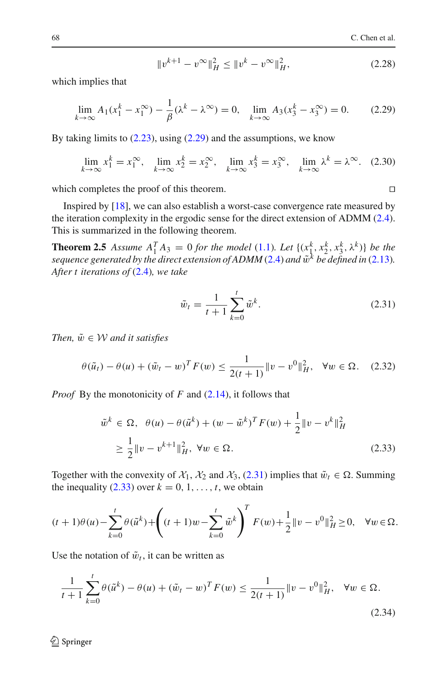$$
||v^{k+1} - v^{\infty}||_H^2 \le ||v^k - v^{\infty}||_H^2,
$$
\n(2.28)

<span id="page-11-0"></span>which implies that

$$
\lim_{k \to \infty} A_1(x_1^k - x_1^{\infty}) - \frac{1}{\beta} (\lambda^k - \lambda^{\infty}) = 0, \quad \lim_{k \to \infty} A_3(x_3^k - x_3^{\infty}) = 0.
$$
 (2.29)

By taking limits to  $(2.23)$ , using  $(2.29)$  and the assumptions, we know

$$
\lim_{k \to \infty} x_1^k = x_1^{\infty}, \quad \lim_{k \to \infty} x_2^k = x_2^{\infty}, \quad \lim_{k \to \infty} x_3^k = x_3^{\infty}, \quad \lim_{k \to \infty} \lambda^k = \lambda^{\infty}.
$$
 (2.30)

which completes the proof of this theorem.

Inspired by [\[18\]](#page-22-16), we can also establish a worst-case convergence rate measured by the iteration complexity in the ergodic sense for the direct extension of ADMM [\(2.4\)](#page-4-1). This is summarized in the following theorem.

**Theorem 2.5** Assume  $A_1^T A_3 = 0$  for the model [\(1.1\)](#page-1-0). Let  $\{(x_1^k, x_2^k, x_3^k, \lambda^k)\}$  be the *sequence generated by the direct extension of ADMM* [\(2.4\)](#page-4-1) *and*  $\tilde{w}^k$  *be defined in* [\(2.13\)](#page-8-0). *After t iterations of* [\(2.4\)](#page-4-1)*, we take*

$$
\tilde{w}_t = \frac{1}{t+1} \sum_{k=0}^t \tilde{w}^k.
$$
\n(2.31)

*Then,*  $\tilde{w} \in \mathcal{W}$  *and it satisfies* 

<span id="page-11-1"></span>
$$
\theta(\tilde{u}_t) - \theta(u) + (\tilde{w}_t - w)^T F(w) \le \frac{1}{2(t+1)} \|v - v^0\|_H^2, \quad \forall w \in \Omega. \tag{2.32}
$$

<span id="page-11-2"></span>*Proof* By the monotonicity of *F* and [\(2.14\)](#page-8-2), it follows that

$$
\tilde{w}^{k} \in \Omega, \quad \theta(u) - \theta(\tilde{u}^{k}) + (w - \tilde{w}^{k})^{T} F(w) + \frac{1}{2} \|v - v^{k}\|_{H}^{2}
$$
\n
$$
\geq \frac{1}{2} \|v - v^{k+1}\|_{H}^{2}, \ \forall w \in \Omega.
$$
\n(2.33)

Together with the convexity of  $\mathcal{X}_1$ ,  $\mathcal{X}_2$  and  $\mathcal{X}_3$ , [\(2.31\)](#page-11-1) implies that  $\tilde{w}_t \in \Omega$ . Summing the inequality [\(2.33\)](#page-11-2) over  $k = 0, 1, \ldots, t$ , we obtain

$$
(t+1)\theta(u) - \sum_{k=0}^t \theta(\tilde{u}^k) + \left( (t+1)w - \sum_{k=0}^t \tilde{w}^k \right)^T F(w) + \frac{1}{2} ||v - v^0||_H^2 \ge 0, \quad \forall w \in \Omega.
$$

<span id="page-11-3"></span>Use the notation of  $\tilde{w}_t$ , it can be written as

$$
\frac{1}{t+1} \sum_{k=0}^{t} \theta(\tilde{u}^{k}) - \theta(u) + (\tilde{w}_{t} - w)^{T} F(w) \le \frac{1}{2(t+1)} \|v - v^{0}\|_{H}^{2}, \quad \forall w \in \Omega.
$$
\n(2.34)

 $\Box$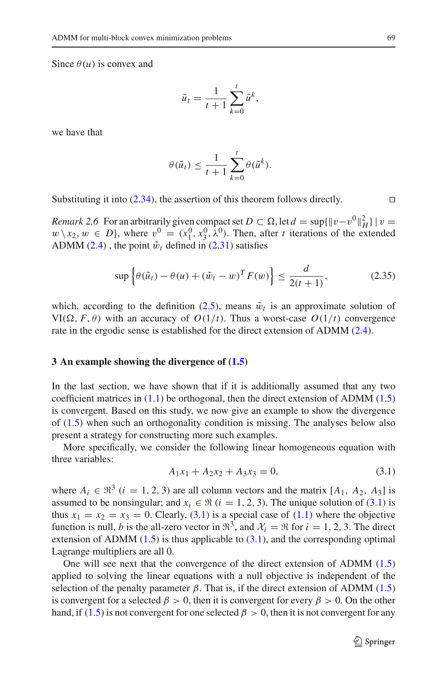Since  $\theta(u)$  is convex and

$$
\tilde{u}_t = \frac{1}{t+1} \sum_{k=0}^t \tilde{u}^k,
$$

we have that

$$
\theta(\tilde{u}_t) \leq \frac{1}{t+1} \sum_{k=0}^t \theta(\tilde{u}^k).
$$

Substituting it into [\(2.34\)](#page-11-3), the assertion of this theorem follows directly.

*Remark 2.6* For an arbitrarily given compact set  $D \subset \Omega$ , let  $d = \sup\{\Vert v - v^0 \Vert^2_H\}$  |  $v =$  $w \setminus x_2, w \in D$ , where  $v^0 = (x_1^0, x_3^0, \lambda^0)$ . Then, after *t* iterations of the extended ADMM [\(2.4\)](#page-4-1), the point  $\tilde{w}_t$  defined in [\(2.31\)](#page-11-1) satisfies

$$
\sup\left\{\theta(\tilde{u}_t) - \theta(u) + (\tilde{w}_t - w)^T F(w)\right\} \le \frac{d}{2(t+1)},\tag{2.35}
$$

which, according to the definition [\(2.5\)](#page-5-0), means  $\tilde{w}_t$  is an approximate solution of VI( $\Omega$ , *F*,  $\theta$ ) with an accuracy of *O*(1/*t*). Thus a worst-case *O*(1/*t*) convergence rate in the ergodic sense is established for the direct extension of ADMM [\(2.4\)](#page-4-1).

#### <span id="page-12-0"></span>**3 An example showing the divergence of [\(1.5\)](#page-2-1)**

In the last section, we have shown that if it is additionally assumed that any two coefficient matrices in [\(1.1\)](#page-1-0) be orthogonal, then the direct extension of ADMM [\(1.5\)](#page-2-1) is convergent. Based on this study, we now give an example to show the divergence of [\(1.5\)](#page-2-1) when such an orthogonality condition is missing. The analyses below also present a strategy for constructing more such examples.

More specifically, we consider the following linear homogeneous equation with three variables:

$$
A_1x_1 + A_2x_2 + A_3x_3 = 0,\t\t(3.1)
$$

<span id="page-12-1"></span>where  $A_i \in \mathbb{R}^3$  (*i* = 1, 2, 3) are all column vectors and the matrix [ $A_1$ ,  $A_2$ ,  $A_3$ ] is assumed to be nonsingular; and  $x_i \in \Re$  ( $i = 1, 2, 3$ ). The unique solution of [\(3.1\)](#page-12-1) is thus  $x_1 = x_2 = x_3 = 0$ . Clearly, [\(3.1\)](#page-12-1) is a special case of [\(1.1\)](#page-1-0) where the objective function is null, *b* is the all-zero vector in  $\mathbb{R}^3$ , and  $\mathcal{X}_i = \mathbb{R}$  for  $i = 1, 2, 3$ . The direct extension of ADMM  $(1.5)$  is thus applicable to  $(3.1)$ , and the corresponding optimal Lagrange multipliers are all 0.

One will see next that the convergence of the direct extension of ADMM [\(1.5\)](#page-2-1) applied to solving the linear equations with a null objective is independent of the selection of the penalty parameter  $\beta$ . That is, if the direct extension of ADMM [\(1.5\)](#page-2-1) is convergent for a selected  $\beta > 0$ , then it is convergent for every  $\beta > 0$ . On the other hand, if [\(1.5\)](#page-2-1) is not convergent for one selected  $\beta > 0$ , then it is not convergent for any

 $\Box$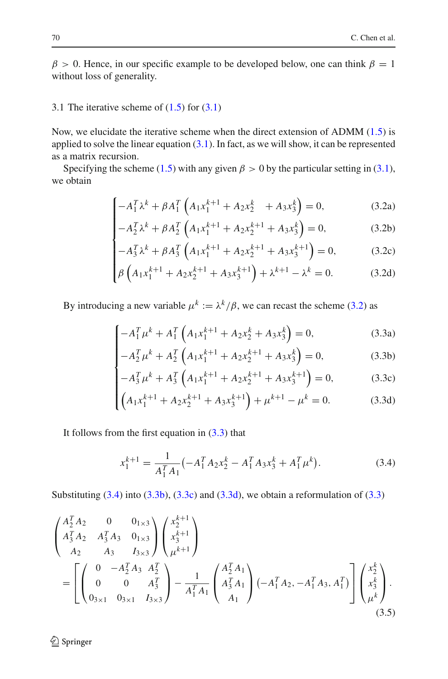$\beta > 0$ . Hence, in our specific example to be developed below, one can think  $\beta = 1$ without loss of generality.

## 3.1 The iterative scheme of  $(1.5)$  for  $(3.1)$

Now, we elucidate the iterative scheme when the direct extension of ADMM  $(1.5)$  is applied to solve the linear equation  $(3.1)$ . In fact, as we will show, it can be represented as a matrix recursion.

<span id="page-13-0"></span>Specifying the scheme [\(1.5\)](#page-2-1) with any given  $\beta > 0$  by the particular setting in [\(3.1\)](#page-12-1), we obtain

$$
\begin{cases}\n-A_1^T \lambda^k + \beta A_1^T \left( A_1 x_1^{k+1} + A_2 x_2^k + A_3 x_3^k \right) = 0, & (3.2a) \\
-A_2^T \lambda^k + \beta A_2^T \left( A_1 x_1^{k+1} + A_2 x_2^{k+1} + A_3 x_3^k \right) = 0, & (3.2b)\n\end{cases}
$$

$$
-A_2^T \lambda^k + \beta A_2^T \left( A_1 x_1^{k+1} + A_2 x_2^{k+1} + A_3 x_3^k \right) = 0, \tag{3.2b}
$$

$$
-A_3^T \lambda^k + \beta A_3^T \left( A_1 x_1^{k+1} + A_2 x_2^{k+1} + A_3 x_3^{k+1} \right) = 0, \tag{3.2c}
$$

$$
\begin{cases}\n-A_3^2 \lambda^4 + \beta A_3^2 \left(A_1 x_1 + A_2 x_2 + A_3 x_3\right) = 0, & (3.2c) \\
\beta \left(A_1 x_1^{k+1} + A_2 x_2^{k+1} + A_3 x_3^{k+1}\right) + \lambda^{k+1} - \lambda^k = 0. & (3.2d)\n\end{cases}
$$

By introducing a new variable  $\mu^k := \lambda^k/\beta$ , we can recast the scheme [\(3.2\)](#page-13-0) as

<span id="page-13-1"></span>
$$
\left[-A_1^T \mu^k + A_1^T \left(A_1 x_1^{k+1} + A_2 x_2^k + A_3 x_3^k\right) = 0,\right.
$$
 (3.3a)

$$
\begin{cases}\n-A_1 \mu + A_1 \left( A_1 x_1 + A_2 x_2 + A_3 x_3 \right) = 0, & (3.3a) \\
-A_2^T \mu^k + A_2^T \left( A_1 x_1^{k+1} + A_2 x_2^{k+1} + A_3 x_3^k \right) = 0, & (3.3b)\n\end{cases}
$$

$$
-A_3^T \mu^k + A_3^T \left( A_1 x_1^{k+1} + A_2 x_2^{k+1} + A_3 x_3^{k+1} \right) = 0, \tag{3.3c}
$$

$$
\begin{cases}\n-A_3^2 \mu^3 + A_3^2 \left( A_1 x_1^{k+1} + A_2 x_2^{k+1} + A_3 x_3^{k+1} \right) = 0, & (3.30) \\
\left( A_1 x_1^{k+1} + A_2 x_2^{k+1} + A_3 x_3^{k+1} \right) + \mu^{k+1} - \mu^k = 0. & (3.30)\n\end{cases}
$$

It follows from the first equation in  $(3.3)$  that

$$
x_1^{k+1} = \frac{1}{A_1^T A_1} \left( -A_1^T A_2 x_2^k - A_1^T A_3 x_3^k + A_1^T \mu^k \right).
$$
 (3.4)

<span id="page-13-2"></span>Substituting  $(3.4)$  into  $(3.3b)$ ,  $(3.3c)$  and  $(3.3d)$ , we obtain a reformulation of  $(3.3)$ 

<span id="page-13-3"></span>
$$
\begin{pmatrix}\nA_2^T A_2 & 0 & 0_{1 \times 3} \\
A_3^T A_2 & A_3^T A_3 & 0_{1 \times 3} \\
A_2 & A_3 & I_{3 \times 3}\n\end{pmatrix}\n\begin{pmatrix}\nx_2^{k+1} \\
x_3^{k+1} \\
\mu^{k+1}\n\end{pmatrix}
$$
\n
$$
= \left[ \begin{pmatrix}\n0 & -A_2^T A_3 & A_2^T \\
0 & 0 & A_3^T \\
0_{3 \times 1} & 0_{3 \times 1} & I_{3 \times 3}\n\end{pmatrix} - \frac{1}{A_1^T A_1} \begin{pmatrix}\nA_2^T A_1 \\
A_3^T A_1 \\
A_1\n\end{pmatrix} (-A_1^T A_2, -A_1^T A_3, A_1^T) \right] \begin{pmatrix}\nx_2^k \\
x_3^k \\
\mu^k\n\end{pmatrix}.
$$
\n(3.5)

<sup>2</sup> Springer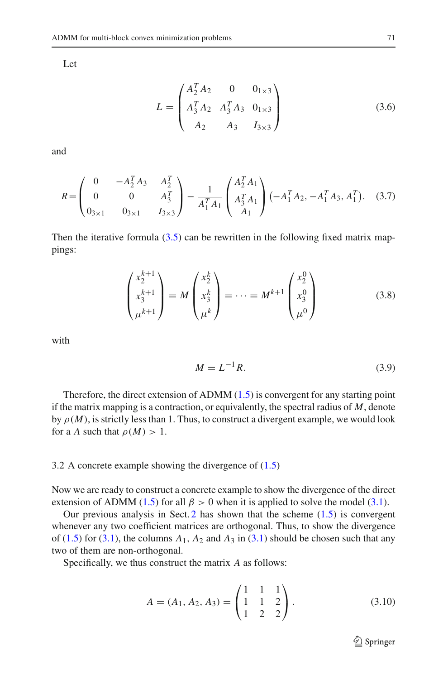<span id="page-14-1"></span>Let

$$
L = \begin{pmatrix} A_2^T A_2 & 0 & 0_{1 \times 3} \\ A_3^T A_2 & A_3^T A_3 & 0_{1 \times 3} \\ A_2 & A_3 & I_{3 \times 3} \end{pmatrix}
$$
 (3.6)

and

<span id="page-14-2"></span>
$$
R = \begin{pmatrix} 0 & -A_2^T A_3 & A_2^T \\ 0 & 0 & A_3^T \\ 0_{3 \times 1} & 0_{3 \times 1} & I_{3 \times 3} \end{pmatrix} - \frac{1}{A_1^T A_1} \begin{pmatrix} A_2^T A_1 \\ A_3^T A_1 \\ A_1 \end{pmatrix} (-A_1^T A_2, -A_1^T A_3, A_1^T). \quad (3.7)
$$

Then the iterative formula  $(3.5)$  can be rewritten in the following fixed matrix mappings:

$$
\begin{pmatrix} x_2^{k+1} \\ x_3^{k+1} \\ \mu^{k+1} \end{pmatrix} = M \begin{pmatrix} x_2^k \\ x_3^k \\ \mu^k \end{pmatrix} = \dots = M^{k+1} \begin{pmatrix} x_2^0 \\ x_3^0 \\ \mu^0 \end{pmatrix}
$$
(3.8)

<span id="page-14-3"></span>with

$$
M = L^{-1}R.\tag{3.9}
$$

Therefore, the direct extension of ADMM [\(1.5\)](#page-2-1) is convergent for any starting point if the matrix mapping is a contraction, or equivalently, the spectral radius of *M*, denote by  $\rho(M)$ , is strictly less than 1. Thus, to construct a divergent example, we would look for a *A* such that  $\rho(M) > 1$ .

### <span id="page-14-4"></span>3.2 A concrete example showing the divergence of [\(1.5\)](#page-2-1)

Now we are ready to construct a concrete example to show the divergence of the direct extension of ADMM [\(1.5\)](#page-2-1) for all  $\beta > 0$  when it is applied to solve the model [\(3.1\)](#page-12-1).

Our previous analysis in Sect.  $2$  has shown that the scheme  $(1.5)$  is convergent whenever any two coefficient matrices are orthogonal. Thus, to show the divergence of  $(1.5)$  for  $(3.1)$ , the columns  $A_1$ ,  $A_2$  and  $A_3$  in  $(3.1)$  should be chosen such that any two of them are non-orthogonal.

<span id="page-14-0"></span>Specifically, we thus construct the matrix *A* as follows:

$$
A = (A_1, A_2, A_3) = \begin{pmatrix} 1 & 1 & 1 \\ 1 & 1 & 2 \\ 1 & 2 & 2 \end{pmatrix}.
$$
 (3.10)

<sup>2</sup> Springer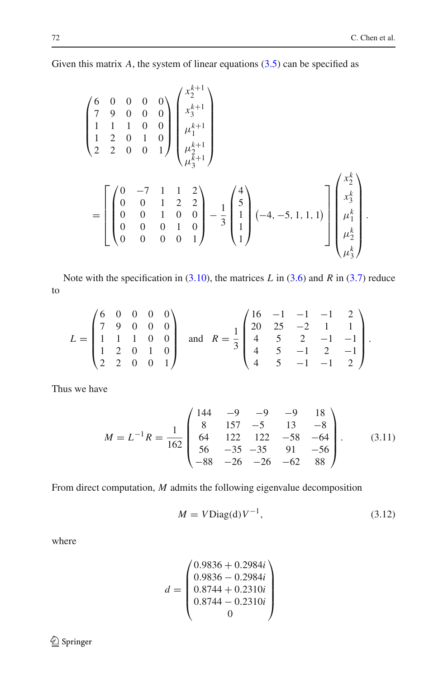.

Given this matrix *A*, the system of linear equations [\(3.5\)](#page-13-3) can be specified as

$$
\begin{pmatrix}\n6 & 0 & 0 & 0 & 0 \\
7 & 9 & 0 & 0 & 0 \\
1 & 1 & 1 & 0 & 0 \\
2 & 2 & 0 & 0 & 1\n\end{pmatrix}\n\begin{pmatrix}\nx_2^{k+1} \\
x_3^{k+1} \\
\mu_1^{k+1} \\
\mu_2^{k+1} \\
\mu_3^{k+1}\n\end{pmatrix}
$$
\n
$$
= \begin{bmatrix}\n0 & -7 & 1 & 1 & 2 \\
0 & 0 & 1 & 2 & 2 \\
0 & 0 & 1 & 0 & 0 \\
0 & 0 & 0 & 1 & 0 \\
0 & 0 & 0 & 0 & 1\n\end{bmatrix} - \frac{1}{3} \begin{pmatrix}\n4 \\
5 \\
1 \\
1 \\
1\n\end{pmatrix} (-4, -5, 1, 1, 1)\n\begin{bmatrix}\nx_2^k \\
x_3^k \\
\mu_1^k \\
\mu_2^k \\
\mu_3^k\n\end{bmatrix}
$$

Note with the specification in [\(3.10\)](#page-14-0), the matrices *L* in [\(3.6\)](#page-14-1) and *R* in [\(3.7\)](#page-14-2) reduce to

$$
L = \begin{pmatrix} 6 & 0 & 0 & 0 & 0 \\ 7 & 9 & 0 & 0 & 0 \\ 1 & 1 & 1 & 0 & 0 \\ 1 & 2 & 0 & 1 & 0 \\ 2 & 2 & 0 & 0 & 1 \end{pmatrix} \text{ and } R = \frac{1}{3} \begin{pmatrix} 16 & -1 & -1 & -1 & 2 \\ 20 & 25 & -2 & 1 & 1 \\ 4 & 5 & 2 & -1 & -1 \\ 4 & 5 & -1 & 2 & -1 \\ 4 & 5 & -1 & -1 & 2 \end{pmatrix}.
$$

Thus we have

$$
M = L^{-1}R = \frac{1}{162} \begin{pmatrix} 144 & -9 & -9 & -9 & 18 \\ 8 & 157 & -5 & 13 & -8 \\ 64 & 122 & 122 & -58 & -64 \\ 56 & -35 & -35 & 91 & -56 \\ -88 & -26 & -26 & -62 & 88 \end{pmatrix}.
$$
 (3.11)

<span id="page-15-1"></span>From direct computation, *M* admits the following eigenvalue decomposition

$$
M = V \text{Diag}(\mathbf{d}) V^{-1},\tag{3.12}
$$

<span id="page-15-0"></span>where

$$
d = \begin{pmatrix} 0.9836 + 0.2984i \\ 0.9836 - 0.2984i \\ 0.8744 + 0.2310i \\ 0.8744 - 0.2310i \\ 0 \end{pmatrix}
$$

 $\underline{\textcircled{\tiny 2}}$  Springer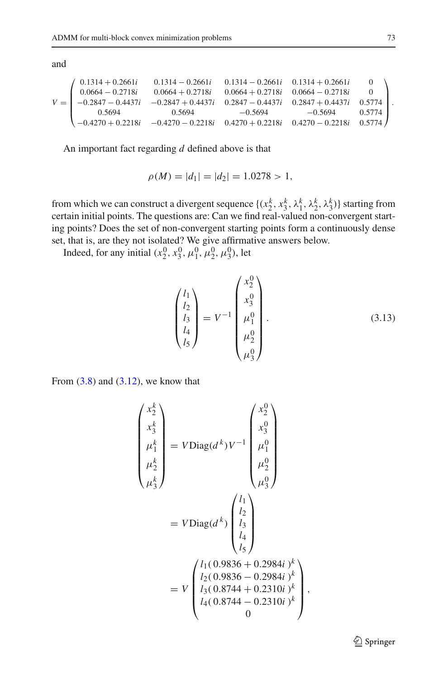and

$$
V=\left(\begin{array}{cccccc} 0.1314+0.2661i & 0.1314-0.2661i & 0.1314-0.2661i & 0.1314+0.2661i & 0 \\ 0.0664-0.2718i & 0.0664+0.2718i & 0.0664+0.2718i & 0.0664-0.2718i & 0 \\ -0.2847-0.4437i & -0.2847+0.4437i & 0.2847-0.4437i & 0.2847+0.4437i & 0.5774 \\ 0.5694 & 0.5694 & -0.5694 & -0.5694 & 0.5774 \\ -0.4270+0.2218i & -0.4270-0.2218i & 0.4270+0.2218i & 0.4270-0.2218i & 0.5774 \end{array}\right).
$$

An important fact regarding *d* defined above is that

$$
\rho(M) = |d_1| = |d_2| = 1.0278 > 1,
$$

from which we can construct a divergent sequence  $\{(x_2^k, x_3^k, \lambda_1^k, \lambda_2^k, \lambda_3^k)\}\$  starting from certain initial points. The questions are: Can we find real-valued non-convergent starting points? Does the set of non-convergent starting points form a continuously dense set, that is, are they not isolated? We give affirmative answers below.

Indeed, for any initial  $(x_2^0, x_3^0, \mu_1^0, \mu_2^0, \mu_3^0)$ , let

$$
\begin{pmatrix} l_1 \\ l_2 \\ l_3 \\ l_4 \\ l_5 \end{pmatrix} = V^{-1} \begin{pmatrix} x_2^0 \\ x_3^0 \\ \mu_1^0 \\ \mu_2^0 \\ \mu_3^0 \end{pmatrix} . \tag{3.13}
$$

From  $(3.8)$  and  $(3.12)$ , we know that

$$
\begin{pmatrix}\nx_2^k \\
x_3^k \\
\mu_1^k \\
\mu_2^k\n\end{pmatrix} = V \text{Diag}(d^k) V^{-1} \begin{pmatrix}\nx_2^0 \\
x_3^0 \\
\mu_1^0 \\
\mu_2^0 \\
\mu_3^0\n\end{pmatrix}
$$
  
=  $V \text{Diag}(d^k) \begin{pmatrix}\nl_1 \\
l_2 \\
l_3 \\
l_4 \\
l_5\n\end{pmatrix}$   
=  $V \begin{pmatrix}\nl_1(0.9836 + 0.2984i)^k \\
l_2(0.9836 - 0.2984i)^k \\
l_3(0.8744 + 0.2310i)^k \\
l_4(0.8744 - 0.2310i)^k \\
0\n\end{pmatrix}$ 

,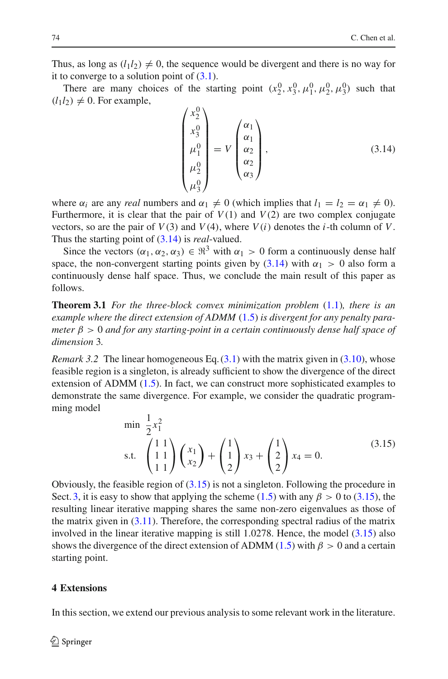Thus, as long as  $(l_1 l_2) \neq 0$ , the sequence would be divergent and there is no way for it to converge to a solution point of  $(3.1)$ .

There are many choices of the starting point  $(x_2^0, x_3^0, \mu_1^0, \mu_2^0, \mu_3^0)$  such that  $(l_1l_2) \neq 0$ . For example,

$$
\begin{pmatrix} x_2^0 \\ x_3^0 \\ \mu_1^0 \\ \mu_2^0 \\ \mu_3^0 \end{pmatrix} = V \begin{pmatrix} \alpha_1 \\ \alpha_1 \\ \alpha_2 \\ \alpha_3 \end{pmatrix}, \tag{3.14}
$$

<span id="page-17-1"></span>where  $\alpha_i$  are any *real* numbers and  $\alpha_1 \neq 0$  (which implies that  $l_1 = l_2 = \alpha_1 \neq 0$ ). Furthermore, it is clear that the pair of  $V(1)$  and  $V(2)$  are two complex conjugate vectors, so are the pair of  $V(3)$  and  $V(4)$ , where  $V(i)$  denotes the *i*-th column of *V*. Thus the starting point of [\(3.14\)](#page-17-1) is *real*-valued.

Since the vectors  $(\alpha_1, \alpha_2, \alpha_3) \in \mathbb{R}^3$  with  $\alpha_1 > 0$  form a continuously dense half space, the non-convergent starting points given by [\(3.14\)](#page-17-1) with  $\alpha_1 > 0$  also form a continuously dense half space. Thus, we conclude the main result of this paper as follows.

**Theorem 3.1** *For the three-block convex minimization problem* [\(1.1\)](#page-1-0)*, there is an example where the direct extension of ADMM* [\(1.5\)](#page-2-1) *is divergent for any penalty parameter* β > 0 *and for any starting-point in a certain continuously dense half space of dimension* 3*.*

*Remark 3.2* The linear homogeneous Eq. [\(3.1\)](#page-12-1) with the matrix given in [\(3.10\)](#page-14-0), whose feasible region is a singleton, is already sufficient to show the divergence of the direct extension of ADMM [\(1.5\)](#page-2-1). In fact, we can construct more sophisticated examples to demonstrate the same divergence. For example, we consider the quadratic programming model

$$
\begin{array}{ll}\n\text{min} & \frac{1}{2}x_1^2 \\
\text{s.t.} & \begin{pmatrix} 1 & 1 \\ 1 & 1 \end{pmatrix} \begin{pmatrix} x_1 \\ x_2 \end{pmatrix} + \begin{pmatrix} 1 \\ 1 \\ 2 \end{pmatrix} x_3 + \begin{pmatrix} 1 \\ 2 \\ 2 \end{pmatrix} x_4 = 0. \tag{3.15}\n\end{array}
$$

<span id="page-17-2"></span>Obviously, the feasible region of [\(3.15\)](#page-17-2) is not a singleton. Following the procedure in Sect. [3,](#page-12-0) it is easy to show that applying the scheme [\(1.5\)](#page-2-1) with any  $\beta > 0$  to [\(3.15\)](#page-17-2), the resulting linear iterative mapping shares the same non-zero eigenvalues as those of the matrix given in [\(3.11\)](#page-15-1). Therefore, the corresponding spectral radius of the matrix involved in the linear iterative mapping is still 1.0278. Hence, the model [\(3.15\)](#page-17-2) also shows the divergence of the direct extension of ADMM [\(1.5\)](#page-2-1) with  $\beta > 0$  and a certain starting point.

### <span id="page-17-0"></span>**4 Extensions**

In this section, we extend our previous analysis to some relevant work in the literature.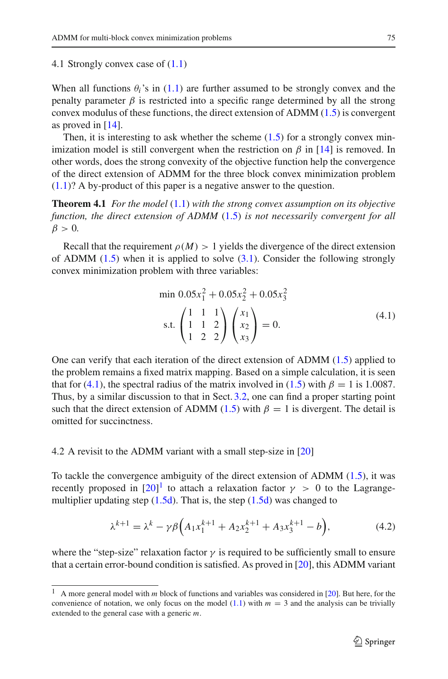#### 4.1 Strongly convex case of [\(1.1\)](#page-1-0)

When all functions  $\theta_i$ 's in [\(1.1\)](#page-1-0) are further assumed to be strongly convex and the penalty parameter  $\beta$  is restricted into a specific range determined by all the strong convex modulus of these functions, the direct extension of ADMM [\(1.5\)](#page-2-1) is convergent as proved in [\[14\]](#page-22-17).

Then, it is interesting to ask whether the scheme  $(1.5)$  for a strongly convex minimization model is still convergent when the restriction on  $\beta$  in [\[14\]](#page-22-17) is removed. In other words, does the strong convexity of the objective function help the convergence of the direct extension of ADMM for the three block convex minimization problem [\(1.1\)](#page-1-0)? A by-product of this paper is a negative answer to the question.

**Theorem 4.1** *For the model* [\(1.1\)](#page-1-0) *with the strong convex assumption on its objective function, the direct extension of ADMM* [\(1.5\)](#page-2-1) *is not necessarily convergent for all*  $\beta > 0$ .

Recall that the requirement  $\rho(M) > 1$  yields the divergence of the direct extension of ADMM  $(1.5)$  when it is applied to solve  $(3.1)$ . Consider the following strongly convex minimization problem with three variables:

$$
\min 0.05x_1^2 + 0.05x_2^2 + 0.05x_3^2
$$
\n
$$
\text{s.t.} \begin{pmatrix} 1 & 1 & 1 \\ 1 & 1 & 2 \\ 1 & 2 & 2 \end{pmatrix} \begin{pmatrix} x_1 \\ x_2 \\ x_3 \end{pmatrix} = 0. \tag{4.1}
$$

<span id="page-18-0"></span>One can verify that each iteration of the direct extension of ADMM [\(1.5\)](#page-2-1) applied to the problem remains a fixed matrix mapping. Based on a simple calculation, it is seen that for [\(4.1\)](#page-18-0), the spectral radius of the matrix involved in [\(1.5\)](#page-2-1) with  $\beta = 1$  is 1.0087. Thus, by a similar discussion to that in Sect. [3.2,](#page-14-4) one can find a proper starting point such that the direct extension of ADMM [\(1.5\)](#page-2-1) with  $\beta = 1$  is divergent. The detail is omitted for succinctness.

## 4.2 A revisit to the ADMM variant with a small step-size in [\[20\]](#page-22-14)

To tackle the convergence ambiguity of the direct extension of ADMM [\(1.5\)](#page-2-1), it was recently proposed in  $[20]$ <sup>[1](#page-18-1)</sup> to attach a relaxation factor  $\gamma > 0$  to the Lagrangemultiplier updating step  $(1.5d)$ . That is, the step  $(1.5d)$  was changed to

$$
\lambda^{k+1} = \lambda^k - \gamma \beta \Big( A_1 x_1^{k+1} + A_2 x_2^{k+1} + A_3 x_3^{k+1} - b \Big), \tag{4.2}
$$

<span id="page-18-2"></span>where the "step-size" relaxation factor  $\gamma$  is required to be sufficiently small to ensure that a certain error-bound condition is satisfied. As proved in [\[20\]](#page-22-14), this ADMM variant

<span id="page-18-1"></span><sup>&</sup>lt;sup>1</sup> A more general model with *m* block of functions and variables was considered in [\[20\]](#page-22-14). But here, for the convenience of notation, we only focus on the model  $(1.1)$  with  $m = 3$  and the analysis can be trivially extended to the general case with a generic *m*.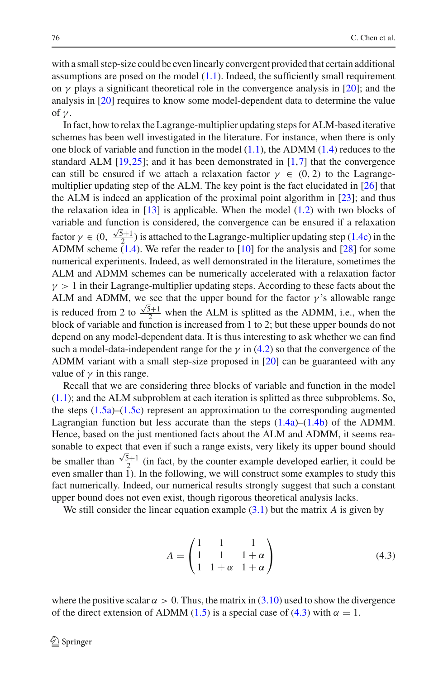with a small step-size could be even linearly convergent provided that certain additional assumptions are posed on the model [\(1.1\)](#page-1-0). Indeed, the sufficiently small requirement on  $\gamma$  plays a significant theoretical role in the convergence analysis in [\[20\]](#page-22-14); and the analysis in [\[20](#page-22-14)] requires to know some model-dependent data to determine the value of  $\gamma$ .

In fact, how to relax the Lagrange-multiplier updating steps for ALM-based iterative schemes has been well investigated in the literature. For instance, when there is only one block of variable and function in the model  $(1.1)$ , the ADMM  $(1.4)$  reduces to the standard ALM  $[19,25]$  $[19,25]$  $[19,25]$ ; and it has been demonstrated in  $[1,7]$  $[1,7]$  $[1,7]$  that the convergence can still be ensured if we attach a relaxation factor  $\gamma \in (0, 2)$  to the Lagrangemultiplier updating step of the ALM. The key point is the fact elucidated in [\[26](#page-22-19)] that the ALM is indeed an application of the proximal point algorithm in [\[23\]](#page-22-20); and thus the relaxation idea in  $[13]$  is applicable. When the model  $(1.2)$  with two blocks of variable and function is considered, the convergence can be ensured if a relaxation factor  $\gamma \in (0, \frac{\sqrt{5}+1}{2})$  is attached to the Lagrange-multiplier updating step [\(1.4c\)](#page-2-0) in the ADMM scheme  $(1.4)$ . We refer the reader to [\[10](#page-22-22)] for the analysis and [\[28\]](#page-22-23) for some numerical experiments. Indeed, as well demonstrated in the literature, sometimes the ALM and ADMM schemes can be numerically accelerated with a relaxation factor  $\gamma > 1$  in their Lagrange-multiplier updating steps. According to these facts about the ALM and ADMM, we see that the upper bound for the factor  $\gamma$ 's allowable range is reduced from 2 to  $\frac{\sqrt{5}+1}{2}$  when the ALM is splitted as the ADMM, i.e., when the block of variable and function is increased from 1 to 2; but these upper bounds do not depend on any model-dependent data. It is thus interesting to ask whether we can find such a model-data-independent range for the  $\gamma$  in [\(4.2\)](#page-18-2) so that the convergence of the ADMM variant with a small step-size proposed in [\[20\]](#page-22-14) can be guaranteed with any value of  $\nu$  in this range.

Recall that we are considering three blocks of variable and function in the model [\(1.1\)](#page-1-0); and the ALM subproblem at each iteration is splitted as three subproblems. So, the steps  $(1.5a)$ – $(1.5c)$  represent an approximation to the corresponding augmented Lagrangian function but less accurate than the steps  $(1.4a)$ – $(1.4b)$  of the ADMM. Hence, based on the just mentioned facts about the ALM and ADMM, it seems reasonable to expect that even if such a range exists, very likely its upper bound should be smaller than  $\frac{\sqrt{5}+1}{2}$  (in fact, by the counter example developed earlier, it could be even smaller than 1). In the following, we will construct some examples to study this fact numerically. Indeed, our numerical results strongly suggest that such a constant upper bound does not even exist, though rigorous theoretical analysis lacks.

<span id="page-19-0"></span>We still consider the linear equation example [\(3.1\)](#page-12-1) but the matrix *A* is given by

$$
A = \begin{pmatrix} 1 & 1 & 1 \\ 1 & 1 & 1 + \alpha \\ 1 & 1 + \alpha & 1 + \alpha \end{pmatrix}
$$
 (4.3)

where the positive scalar  $\alpha > 0$ . Thus, the matrix in [\(3.10\)](#page-14-0) used to show the divergence of the direct extension of ADMM [\(1.5\)](#page-2-1) is a special case of [\(4.3\)](#page-19-0) with  $\alpha = 1$ .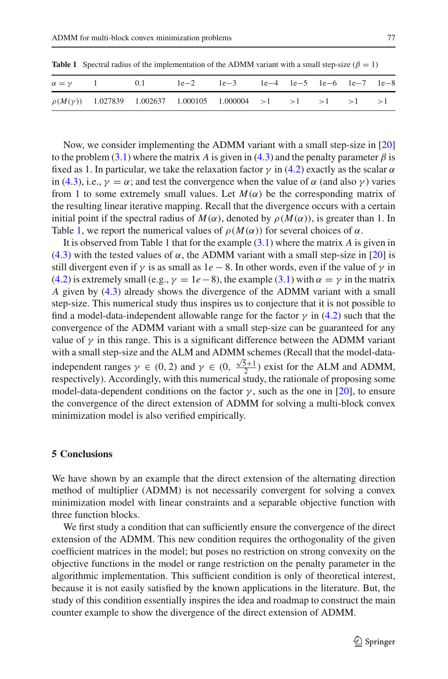<span id="page-20-1"></span>

|  | $\alpha = \gamma$ 1 0.1 le-2 le-3 le-4 le-5 le-6 le-7 le-8           |  |  |  |
|--|----------------------------------------------------------------------|--|--|--|
|  | $\rho(M(\gamma))$ 1.027839 1.002637 1.000105 1.000004 >1 >1 >1 >1 >1 |  |  |  |

**Table 1** Spectral radius of the implementation of the ADMM variant with a small step-size ( $\beta = 1$ )

Now, we consider implementing the ADMM variant with a small step-size in [\[20\]](#page-22-14) to the problem [\(3.1\)](#page-12-1) where the matrix *A* is given in [\(4.3\)](#page-19-0) and the penalty parameter  $\beta$  is fixed as 1. In particular, we take the relaxation factor  $\gamma$  in [\(4.2\)](#page-18-2) exactly as the scalar  $\alpha$ in [\(4.3\)](#page-19-0), i.e.,  $\gamma = \alpha$ ; and test the convergence when the value of  $\alpha$  (and also  $\gamma$ ) varies from 1 to some extremely small values. Let  $M(\alpha)$  be the corresponding matrix of the resulting linear iterative mapping. Recall that the divergence occurs with a certain initial point if the spectral radius of  $M(\alpha)$ , denoted by  $\rho(M(\alpha))$ , is greater than 1. In Table [1,](#page-20-1) we report the numerical values of  $\rho(M(\alpha))$  for several choices of  $\alpha$ .

It is observed from Table [1](#page-20-1) that for the example [\(3.1\)](#page-12-1) where the matrix *A* is given in [\(4.3\)](#page-19-0) with the tested values of  $\alpha$ , the ADMM variant with a small step-size in [\[20](#page-22-14)] is still divergent even if  $\gamma$  is as small as  $1e - 8$ . In other words, even if the value of  $\gamma$  in [\(4.2\)](#page-18-2) is extremely small (e.g.,  $\gamma = 1e-8$ ), the example [\(3.1\)](#page-12-1) with  $\alpha = \gamma$  in the matrix *A* given by [\(4.3\)](#page-19-0) already shows the divergence of the ADMM variant with a small step-size. This numerical study thus inspires us to conjecture that it is not possible to find a model-data-independent allowable range for the factor  $\gamma$  in [\(4.2\)](#page-18-2) such that the convergence of the ADMM variant with a small step-size can be guaranteed for any value of  $\gamma$  in this range. This is a significant difference between the ADMM variant with a small step-size and the ALM and ADMM schemes (Recall that the model-dataindependent ranges  $\gamma \in (0, 2)$  and  $\gamma \in (0, \frac{\sqrt{5}+1}{2})$  exist for the ALM and ADMM, respectively). Accordingly, with this numerical study, the rationale of proposing some model-data-dependent conditions on the factor  $\gamma$ , such as the one in [\[20\]](#page-22-14), to ensure the convergence of the direct extension of ADMM for solving a multi-block convex minimization model is also verified empirically.

## <span id="page-20-0"></span>**5 Conclusions**

We have shown by an example that the direct extension of the alternating direction method of multiplier (ADMM) is not necessarily convergent for solving a convex minimization model with linear constraints and a separable objective function with three function blocks.

We first study a condition that can sufficiently ensure the convergence of the direct extension of the ADMM. This new condition requires the orthogonality of the given coefficient matrices in the model; but poses no restriction on strong convexity on the objective functions in the model or range restriction on the penalty parameter in the algorithmic implementation. This sufficient condition is only of theoretical interest, because it is not easily satisfied by the known applications in the literature. But, the study of this condition essentially inspires the idea and roadmap to construct the main counter example to show the divergence of the direct extension of ADMM.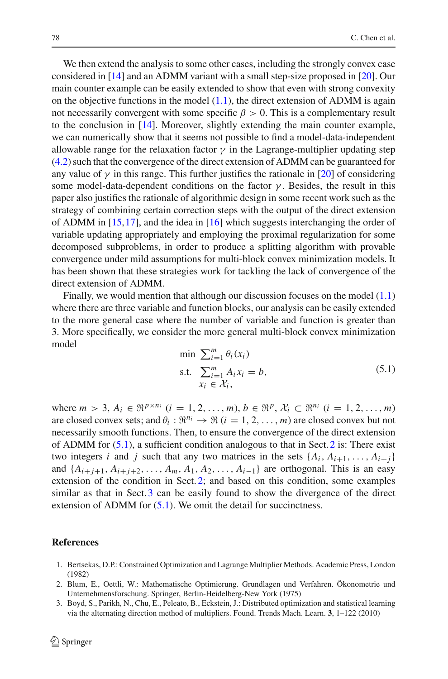We then extend the analysis to some other cases, including the strongly convex case considered in [\[14](#page-22-17)] and an ADMM variant with a small step-size proposed in [\[20\]](#page-22-14). Our main counter example can be easily extended to show that even with strong convexity on the objective functions in the model  $(1.1)$ , the direct extension of ADMM is again not necessarily convergent with some specific  $\beta > 0$ . This is a complementary result to the conclusion in [\[14](#page-22-17)]. Moreover, slightly extending the main counter example, we can numerically show that it seems not possible to find a model-data-independent allowable range for the relaxation factor  $\gamma$  in the Lagrange-multiplier updating step [\(4.2\)](#page-18-2) such that the convergence of the direct extension of ADMM can be guaranteed for any value of  $\gamma$  in this range. This further justifies the rationale in [\[20\]](#page-22-14) of considering some model-data-dependent conditions on the factor  $\gamma$ . Besides, the result in this paper also justifies the rationale of algorithmic design in some recent work such as the strategy of combining certain correction steps with the output of the direct extension of ADMM in [\[15,](#page-22-12)[17\]](#page-22-13), and the idea in [\[16](#page-22-24)] which suggests interchanging the order of variable updating appropriately and employing the proximal regularization for some decomposed subproblems, in order to produce a splitting algorithm with provable convergence under mild assumptions for multi-block convex minimization models. It has been shown that these strategies work for tackling the lack of convergence of the direct extension of ADMM.

Finally, we would mention that although our discussion focuses on the model [\(1.1\)](#page-1-0) where there are three variable and function blocks, our analysis can be easily extended to the more general case where the number of variable and function is greater than 3. More specifically, we consider the more general multi-block convex minimization model

$$
\min \sum_{i=1}^{m} \theta_i(x_i)
$$
\n
$$
\text{s.t.} \quad \sum_{i=1}^{m} A_i x_i = b,
$$
\n
$$
x_i \in \mathcal{X}_i,
$$
\n
$$
(5.1)
$$

<span id="page-21-3"></span>where  $m > 3$ ,  $A_i \in \mathbb{R}^{p \times n_i}$   $(i = 1, 2, ..., m)$ ,  $b \in \mathbb{R}^p$ ,  $\mathcal{X}_i \subset \mathbb{R}^{n_i}$   $(i = 1, 2, ..., m)$ are closed convex sets; and  $\theta_i : \Re^{n_i} \to \Re$  (*i* = 1, 2, ..., *m*) are closed convex but not necessarily smooth functions. Then, to ensure the convergence of the direct extension of ADMM for  $(5.1)$ , a sufficient condition analogous to that in Sect. [2](#page-3-0) is: There exist two integers *i* and *j* such that any two matrices in the sets  $\{A_i, A_{i+1}, \ldots, A_{i+j}\}$ and  $\{A_{i+j+1}, A_{i+j+2}, \ldots, A_m, A_1, A_2, \ldots, A_{i-1}\}\$  are orthogonal. This is an easy extension of the condition in Sect. [2;](#page-3-0) and based on this condition, some examples similar as that in Sect. [3](#page-12-0) can be easily found to show the divergence of the direct extension of ADMM for  $(5.1)$ . We omit the detail for succinctness.

## <span id="page-21-2"></span>**References**

- 1. Bertsekas, D.P.: Constrained Optimization and Lagrange Multiplier Methods. Academic Press, London (1982)
- <span id="page-21-1"></span>2. Blum, E., Oettli, W.: Mathematische Optimierung. Grundlagen und Verfahren. Ökonometrie und Unternehmensforschung. Springer, Berlin-Heidelberg-New York (1975)
- <span id="page-21-0"></span>3. Boyd, S., Parikh, N., Chu, E., Peleato, B., Eckstein, J.: Distributed optimization and statistical learning via the alternating direction method of multipliers. Found. Trends Mach. Learn. **3**, 1–122 (2010)